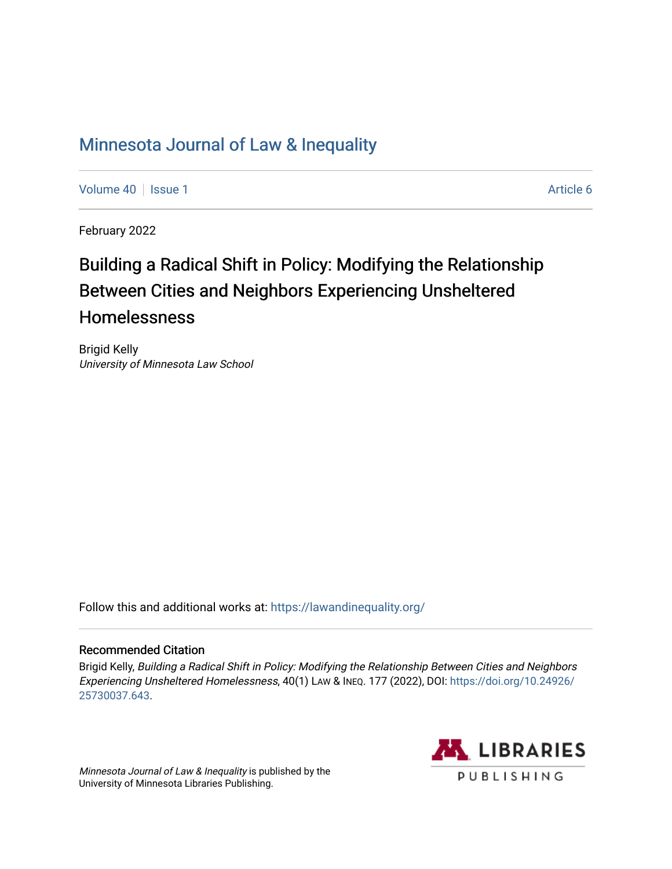# [Minnesota Journal of Law & Inequality](https://scholarship.law.umn.edu/lawineq)

[Volume 40](https://scholarship.law.umn.edu/lawineq/vol40) | [Issue 1](https://scholarship.law.umn.edu/lawineq/vol40/iss1) Article 6

February 2022

# Building a Radical Shift in Policy: Modifying the Relationship Between Cities and Neighbors Experiencing Unsheltered Homelessness

Brigid Kelly University of Minnesota Law School

Follow this and additional works at: <https://lawandinequality.org/>

# Recommended Citation

Brigid Kelly, Building a Radical Shift in Policy: Modifying the Relationship Between Cities and Neighbors Experiencing Unsheltered Homelessness, 40(1) LAW & INEQ. 177 (2022), DOI: [https://doi.org/10.24926/](https://doi.org/10.24926/25730037.643) [25730037.643](https://doi.org/10.24926/25730037.643).

Minnesota Journal of Law & Inequality is published by the University of Minnesota Libraries Publishing.

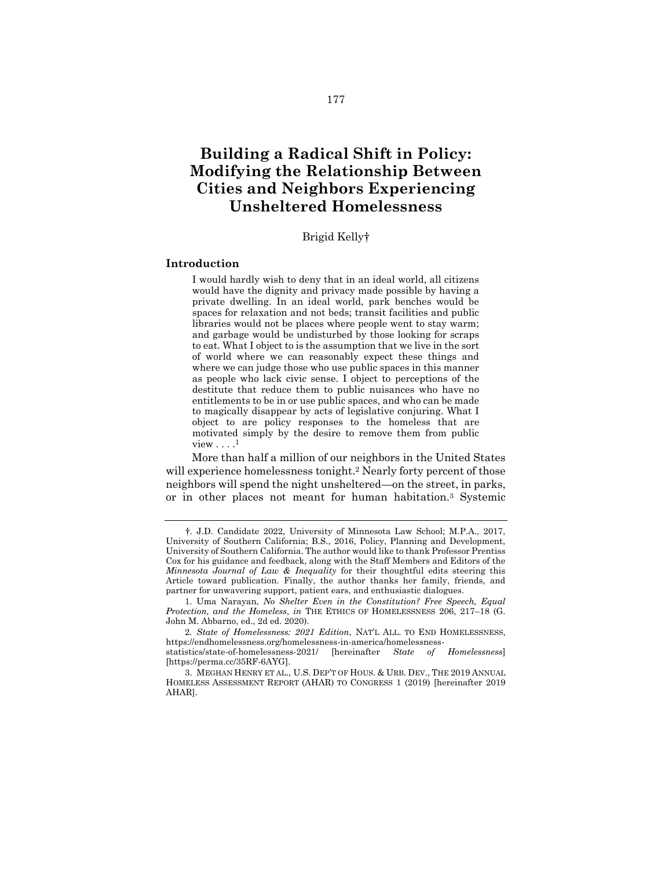# **Building a Radical Shift in Policy: Modifying the Relationship Between Cities and Neighbors Experiencing Unsheltered Homelessness**

#### Brigid Kelly†

#### **Introduction**

I would hardly wish to deny that in an ideal world, all citizens would have the dignity and privacy made possible by having a private dwelling. In an ideal world, park benches would be spaces for relaxation and not beds; transit facilities and public libraries would not be places where people went to stay warm; and garbage would be undisturbed by those looking for scraps to eat. What I object to is the assumption that we live in the sort of world where we can reasonably expect these things and where we can judge those who use public spaces in this manner as people who lack civic sense. I object to perceptions of the destitute that reduce them to public nuisances who have no entitlements to be in or use public spaces, and who can be made to magically disappear by acts of legislative conjuring. What I object to are policy responses to the homeless that are motivated simply by the desire to remove them from public view  $\dots$  $^1$ 

<span id="page-1-2"></span><span id="page-1-0"></span>More than half a million of our neighbors in the United States will experience homelessness tonight.<sup>2</sup> Nearly forty percent of those neighbors will spend the night unsheltered—on the street, in parks, or in other places not meant for human habitation.<sup>3</sup> Systemic

<span id="page-1-1"></span><sup>†</sup>. J.D. Candidate 2022, University of Minnesota Law School; M.P.A., 2017, University of Southern California; B.S., 2016, Policy, Planning and Development, University of Southern California. The author would like to thank Professor Prentiss Cox for his guidance and feedback, along with the Staff Members and Editors of the *Minnesota Journal of Law & Inequality* for their thoughtful edits steering this Article toward publication. Finally, the author thanks her family, friends, and partner for unwavering support, patient ears, and enthusiastic dialogues.

<sup>1.</sup> Uma Narayan, *No Shelter Even in the Constitution? Free Speech, Equal Protection, and the Homeless*, *in* THE ETHICS OF HOMELESSNESS 206, 217–18 (G. John M. Abbarno, ed., 2d ed. 2020).

<sup>2</sup>*. State of Homelessness: 2021 Edition*, NAT'L ALL. TO END HOMELESSNESS, https://endhomelessness.org/homelessness-in-america/homelessness-

statistics/state-of-homelessness-2021/ [hereinafter *State of Homelessness*] [https://perma.cc/35RF-6AYG].

<sup>3.</sup> MEGHAN HENRY ET AL., U.S. DEP'T OF HOUS. & URB. DEV., THE 2019 ANNUAL HOMELESS ASSESSMENT REPORT (AHAR) TO CONGRESS 1 (2019) [hereinafter 2019 AHAR].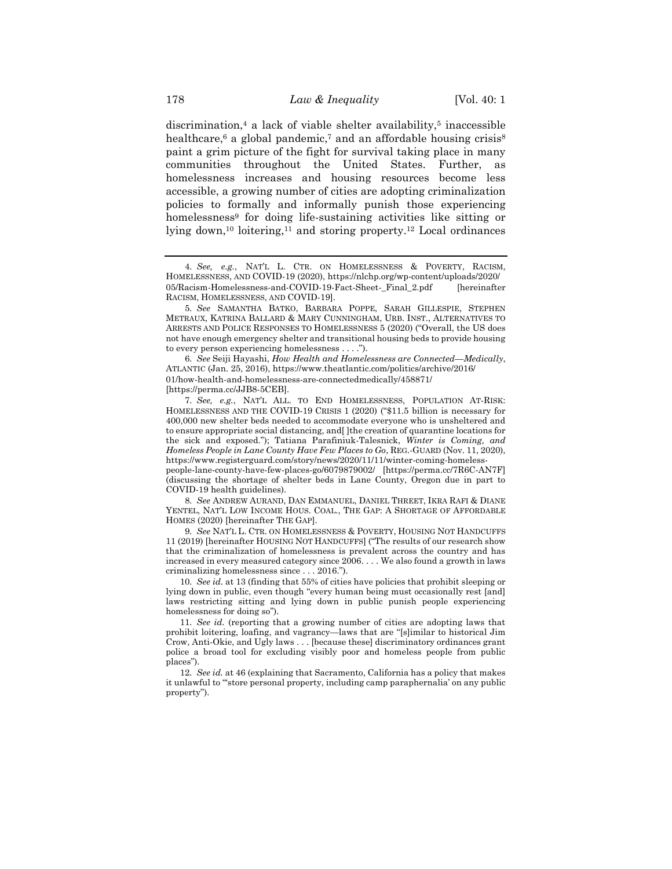<span id="page-2-3"></span><span id="page-2-2"></span><span id="page-2-1"></span>discrimination, $4$  a lack of viable shelter availability, $5$  inaccessible healthcare,<sup>6</sup> a global pandemic,<sup>7</sup> and an affordable housing crisis<sup>8</sup> paint a grim picture of the fight for survival taking place in many communities throughout the United States. Further, as homelessness increases and housing resources become less accessible, a growing number of cities are adopting criminalization policies to formally and informally punish those experiencing homelessness<sup>9</sup> for doing life-sustaining activities like sitting or lying down,<sup>10</sup> loitering,<sup>11</sup> and storing property.<sup>12</sup> Local ordinances

6*. See* Seiji Hayashi, *How Health and Homelessness are Connected—Medically*, ATLANTIC (Jan. 25, 2016), https://www.theatlantic.com/politics/archive/2016/ 01/how-health-and-homelessness-are-connectedmedically/458871/ [https://perma.cc/JJB8-5CEB].

7*. See, e.g.*, NAT'L ALL. TO END HOMELESSNESS, POPULATION AT-RISK: HOMELESSNESS AND THE COVID-19 CRISIS 1 (2020) ("\$11.5 billion is necessary for 400,000 new shelter beds needed to accommodate everyone who is unsheltered and to ensure appropriate social distancing, and[ ]the creation of quarantine locations for the sick and exposed."); Tatiana Parafiniuk-Talesnick, *Winter is Coming, and Homeless People in Lane County Have Few Places to Go*, REG.-GUARD (Nov. 11, 2020), https://www.registerguard.com/story/news/2020/11/11/winter-coming-homeless-

people-lane-county-have-few-places-go/6079879002/ [https://perma.cc/7R6C-AN7F] (discussing the shortage of shelter beds in Lane County, Oregon due in part to COVID-19 health guidelines).

8*. See* ANDREW AURAND, DAN EMMANUEL, DANIEL THREET, IKRA RAFI & DIANE YENTEL, NAT'L LOW INCOME HOUS. COAL., THE GAP: A SHORTAGE OF AFFORDABLE HOMES (2020) [hereinafter THE GAP].

9*. See* NAT'L L. CTR. ON HOMELESSNESS & POVERTY, HOUSING NOT HANDCUFFS 11 (2019) [hereinafter HOUSING NOT HANDCUFFS] ("The results of our research show that the criminalization of homelessness is prevalent across the country and has increased in every measured category since 2006. . . . We also found a growth in laws criminalizing homelessness since . . . 2016.").

10*. See id.* at 13 (finding that 55% of cities have policies that prohibit sleeping or lying down in public, even though "every human being must occasionally rest [and] laws restricting sitting and lying down in public punish people experiencing homelessness for doing so").

11*. See id.* (reporting that a growing number of cities are adopting laws that prohibit loitering, loafing, and vagrancy—laws that are "[s]imilar to historical Jim Crow, Anti-Okie, and Ugly laws . . . [because these] discriminatory ordinances grant police a broad tool for excluding visibly poor and homeless people from public places").

12*. See id.* at 46 (explaining that Sacramento, California has a policy that makes it unlawful to "'store personal property, including camp paraphernalia' on any public property").

<span id="page-2-0"></span><sup>4</sup>*. See, e.g.*, NAT'L L. CTR. ON HOMELESSNESS & POVERTY, RACISM, HOMELESSNESS, AND COVID-19 (2020), https://nlchp.org/wp-content/uploads/2020/ 05/Racism-Homelessness-and-COVID-19-Fact-Sheet- Final 2.pdf [hereinafter RACISM, HOMELESSNESS, AND COVID-19].

<sup>5</sup>*. See* SAMANTHA BATKO, BARBARA POPPE, SARAH GILLESPIE, STEPHEN METRAUX, KATRINA BALLARD & MARY CUNNINGHAM, URB. INST., ALTERNATIVES TO ARRESTS AND POLICE RESPONSES TO HOMELESSNESS 5 (2020) ("Overall, the US does not have enough emergency shelter and transitional housing beds to provide housing to every person experiencing homelessness . . . .").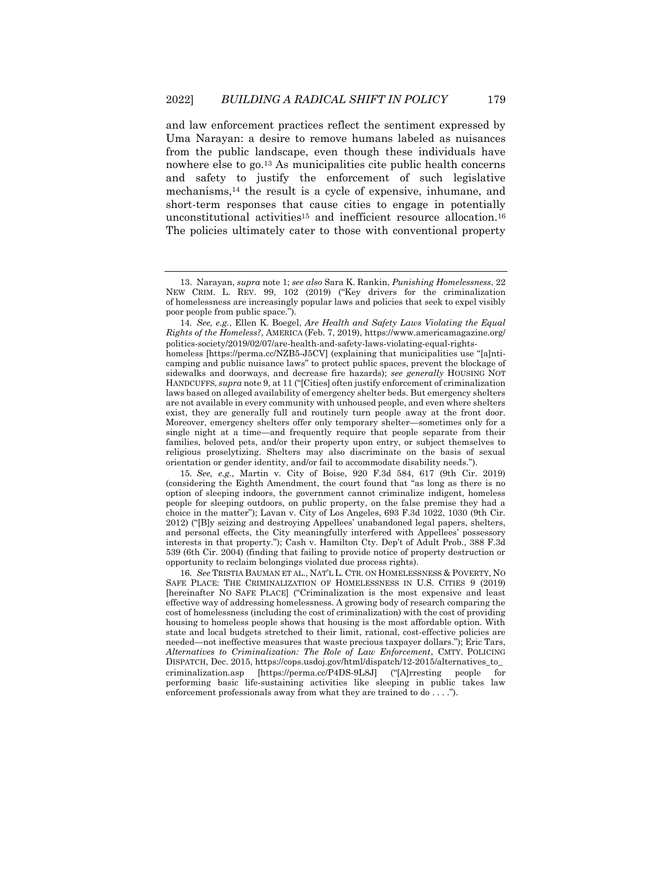<span id="page-3-0"></span>and law enforcement practices reflect the sentiment expressed by Uma Narayan: a desire to remove humans labeled as nuisances from the public landscape, even though these individuals have nowhere else to go.<sup>13</sup> As municipalities cite public health concerns and safety to justify the enforcement of such legislative mechanisms,<sup>14</sup> the result is a cycle of expensive, inhumane, and short-term responses that cause cities to engage in potentially unconstitutional activities<sup>15</sup> and inefficient resource allocation.<sup>16</sup> The policies ultimately cater to those with conventional property

14*. See, e.g.*, Ellen K. Boegel, *Are Health and Safety Laws Violating the Equal Rights of the Homeless?*, AMERICA (Feb. 7, 2019), https://www.americamagazine.org/ politics-society/2019/02/07/are-health-and-safety-laws-violating-equal-rights-

homeless [https://perma.cc/NZB5-J5CV] (explaining that municipalities use "[a]nticamping and public nuisance laws" to protect public spaces, prevent the blockage of sidewalks and doorways, and decrease fire hazards); *see generally* HOUSING NOT HANDCUFFS, *supra* not[e 9,](#page-2-0) at 11 ("[Cities] often justify enforcement of criminalization laws based on alleged availability of emergency shelter beds. But emergency shelters are not available in every community with unhoused people, and even where shelters exist, they are generally full and routinely turn people away at the front door. Moreover, emergency shelters offer only temporary shelter—sometimes only for a single night at a time—and frequently require that people separate from their families, beloved pets, and/or their property upon entry, or subject themselves to religious proselytizing. Shelters may also discriminate on the basis of sexual orientation or gender identity, and/or fail to accommodate disability needs.").

15*. See, e.g.*, Martin v. City of Boise, 920 F.3d 584, 617 (9th Cir. 2019) (considering the Eighth Amendment, the court found that "as long as there is no option of sleeping indoors, the government cannot criminalize indigent, homeless people for sleeping outdoors, on public property, on the false premise they had a choice in the matter"); Lavan v. City of Los Angeles, 693 F.3d 1022, 1030 (9th Cir. 2012) ("[B]y seizing and destroying Appellees' unabandoned legal papers, shelters, and personal effects, the City meaningfully interfered with Appellees' possessory interests in that property."); Cash v. Hamilton Cty. Dep't of Adult Prob., 388 F.3d 539 (6th Cir. 2004) (finding that failing to provide notice of property destruction or opportunity to reclaim belongings violated due process rights).

16*. See* TRISTIA BAUMAN ET AL., NAT'L L. CTR. ON HOMELESSNESS & POVERTY, NO SAFE PLACE: THE CRIMINALIZATION OF HOMELESSNESS IN U.S. CITIES 9 (2019) [hereinafter NO SAFE PLACE] ("Criminalization is the most expensive and least effective way of addressing homelessness. A growing body of research comparing the cost of homelessness (including the cost of criminalization) with the cost of providing housing to homeless people shows that housing is the most affordable option. With state and local budgets stretched to their limit, rational, cost-effective policies are needed—not ineffective measures that waste precious taxpayer dollars."); Eric Tars, *Alternatives to Criminalization: The Role of Law Enforcement*, CMTY. POLICING DISPATCH, Dec. 2015, https://cops.usdoj.gov/html/dispatch/12-2015/alternatives\_to\_ criminalization.asp [https://perma.cc/P4DS-9L8J] ("[A]rresting people for performing basic life-sustaining activities like sleeping in public takes law enforcement professionals away from what they are trained to do . . . .").

<span id="page-3-1"></span>

<sup>13.</sup> Narayan, *supra* not[e 1;](#page-1-0) *see also* Sara K. Rankin, *Punishing Homelessness*, 22 NEW CRIM. L. REV. 99, 102 (2019) ("Key drivers for the criminalization of homelessness are increasingly popular laws and policies that seek to expel visibly poor people from public space.").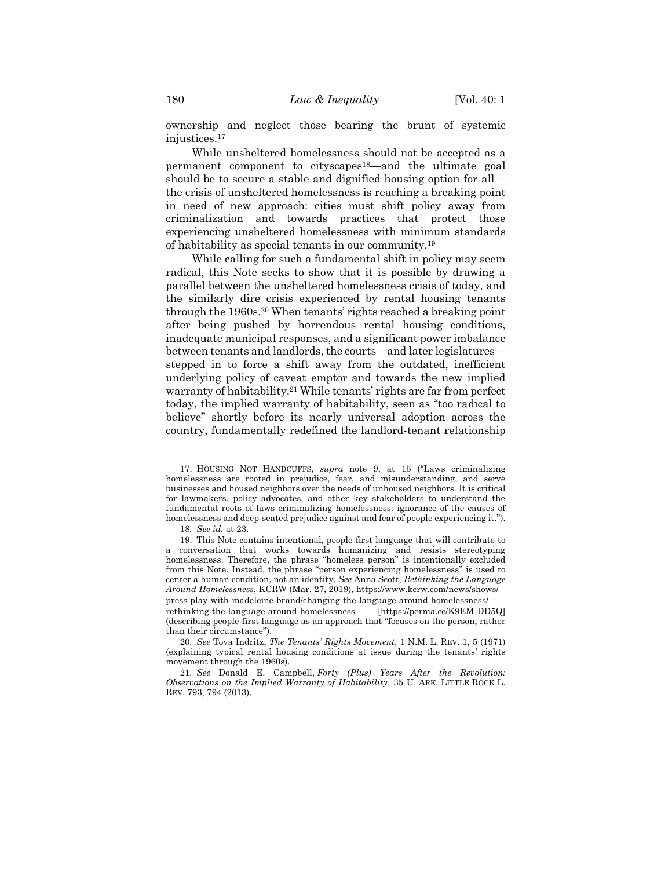ownership and neglect those bearing the brunt of systemic injustices.<sup>17</sup>

While unsheltered homelessness should not be accepted as a permanent component to cityscapes18—and the ultimate goal should be to secure a stable and dignified housing option for all the crisis of unsheltered homelessness is reaching a breaking point in need of new approach: cities must shift policy away from criminalization and towards practices that protect those experiencing unsheltered homelessness with minimum standards of habitability as special tenants in our community.<sup>19</sup>

<span id="page-4-0"></span>While calling for such a fundamental shift in policy may seem radical, this Note seeks to show that it is possible by drawing a parallel between the unsheltered homelessness crisis of today, and the similarly dire crisis experienced by rental housing tenants through the 1960s.<sup>20</sup> When tenants' rights reached a breaking point after being pushed by horrendous rental housing conditions, inadequate municipal responses, and a significant power imbalance between tenants and landlords, the courts—and later legislatures stepped in to force a shift away from the outdated, inefficient underlying policy of caveat emptor and towards the new implied warranty of habitability.<sup>21</sup> While tenants' rights are far from perfect today, the implied warranty of habitability, seen as "too radical to believe" shortly before its nearly universal adoption across the country, fundamentally redefined the landlord-tenant relationship

<span id="page-4-1"></span><sup>17.</sup> HOUSING NOT HANDCUFFS, *supra* note [9,](#page-2-0) at 15 ("Laws criminalizing homelessness are rooted in prejudice, fear, and misunderstanding, and serve businesses and housed neighbors over the needs of unhoused neighbors. It is critical for lawmakers, policy advocates, and other key stakeholders to understand the fundamental roots of laws criminalizing homelessness: ignorance of the causes of homelessness and deep-seated prejudice against and fear of people experiencing it.").

<sup>18</sup>*. See id.* at 23.

<sup>19.</sup> This Note contains intentional, people-first language that will contribute to a conversation that works towards humanizing and resists stereotyping homelessness. Therefore, the phrase "homeless person" is intentionally excluded from this Note. Instead, the phrase "person experiencing homelessness" is used to center a human condition, not an identity. *See* Anna Scott, *Rethinking the Language Around Homelessness*, KCRW (Mar. 27, 2019), https://www.kcrw.com/news/shows/ press-play-with-madeleine-brand/changing-the-language-around-homelessness/ rethinking-the-language-around-homelessness [https://perma.cc/K9EM-DD5Q] (describing people-first language as an approach that "focuses on the person, rather than their circumstance").

<sup>20</sup>*. See* Tova Indritz, *The Tenants' Rights Movement*, 1 N.M. L. REV. 1, 5 (1971) (explaining typical rental housing conditions at issue during the tenants' rights movement through the 1960s).

<sup>21</sup>*. See* Donald E. Campbell, *Forty (Plus) Years After the Revolution: Observations on the Implied Warranty of Habitability*, 35 U. ARK. LITTLE ROCK L. REV. 793, 794 (2013).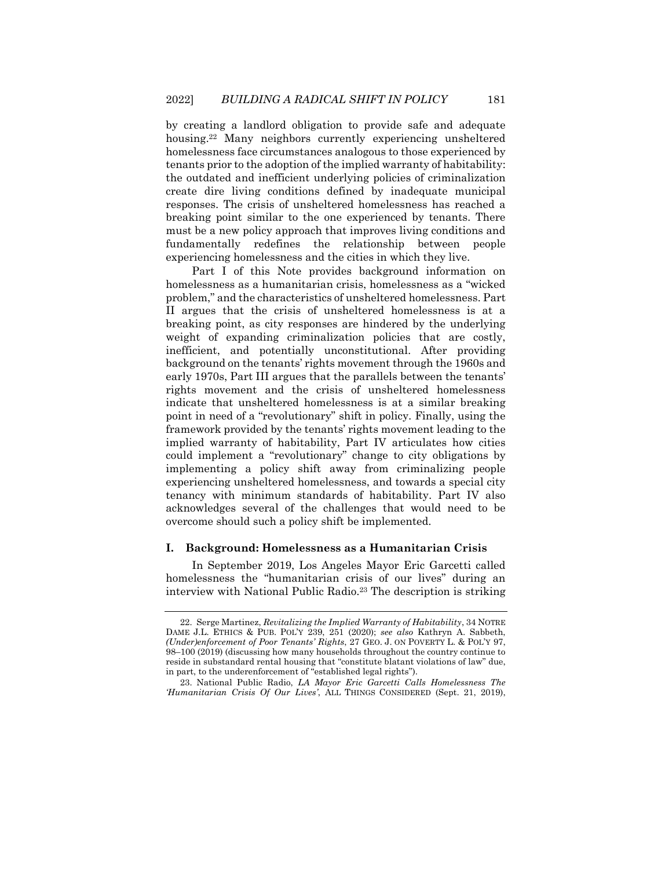<span id="page-5-0"></span>by creating a landlord obligation to provide safe and adequate housing.<sup>22</sup> Many neighbors currently experiencing unsheltered homelessness face circumstances analogous to those experienced by tenants prior to the adoption of the implied warranty of habitability: the outdated and inefficient underlying policies of criminalization create dire living conditions defined by inadequate municipal responses. The crisis of unsheltered homelessness has reached a breaking point similar to the one experienced by tenants. There must be a new policy approach that improves living conditions and fundamentally redefines the relationship between people experiencing homelessness and the cities in which they live.

Part I of this Note provides background information on homelessness as a humanitarian crisis, homelessness as a "wicked problem," and the characteristics of unsheltered homelessness. Part II argues that the crisis of unsheltered homelessness is at a breaking point, as city responses are hindered by the underlying weight of expanding criminalization policies that are costly, inefficient, and potentially unconstitutional. After providing background on the tenants' rights movement through the 1960s and early 1970s, Part III argues that the parallels between the tenants' rights movement and the crisis of unsheltered homelessness indicate that unsheltered homelessness is at a similar breaking point in need of a "revolutionary" shift in policy. Finally, using the framework provided by the tenants' rights movement leading to the implied warranty of habitability, Part IV articulates how cities could implement a "revolutionary" change to city obligations by implementing a policy shift away from criminalizing people experiencing unsheltered homelessness, and towards a special city tenancy with minimum standards of habitability. Part IV also acknowledges several of the challenges that would need to be overcome should such a policy shift be implemented.

#### **I. Background: Homelessness as a Humanitarian Crisis**

In September 2019, Los Angeles Mayor Eric Garcetti called homelessness the "humanitarian crisis of our lives" during an interview with National Public Radio.<sup>23</sup> The description is striking

<sup>22.</sup> Serge Martinez, *Revitalizing the Implied Warranty of Habitability*, 34 NOTRE DAME J.L. ETHICS & PUB. POL'Y 239, 251 (2020); *see also* Kathryn A. Sabbeth, *(Under)enforcement of Poor Tenants' Rights*, 27 GEO. J. ON POVERTY L. & POL'Y 97, 98–100 (2019) (discussing how many households throughout the country continue to reside in substandard rental housing that "constitute blatant violations of law" due, in part, to the underenforcement of "established legal rights").

<sup>23.</sup> National Public Radio, *LA Mayor Eric Garcetti Calls Homelessness The 'Humanitarian Crisis Of Our Lives'*, ALL THINGS CONSIDERED (Sept. 21, 2019),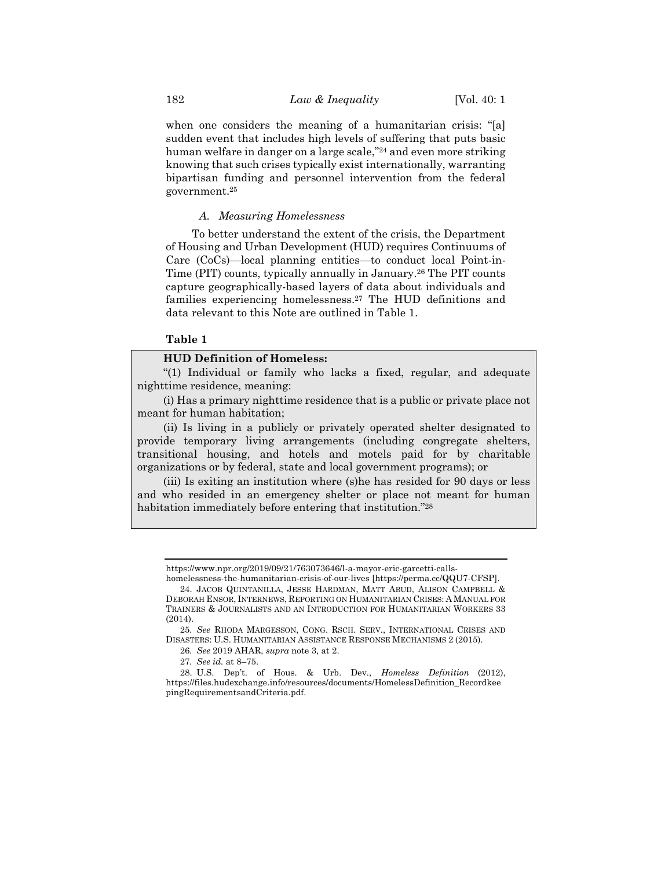when one considers the meaning of a humanitarian crisis: "[a] sudden event that includes high levels of suffering that puts basic human welfare in danger on a large scale,"<sup>24</sup> and even more striking knowing that such crises typically exist internationally, warranting bipartisan funding and personnel intervention from the federal government.<sup>25</sup>

# *A. Measuring Homelessness*

To better understand the extent of the crisis, the Department of Housing and Urban Development (HUD) requires Continuums of Care (CoCs)—local planning entities—to conduct local Point-in-Time (PIT) counts, typically annually in January.<sup>26</sup> The PIT counts capture geographically-based layers of data about individuals and families experiencing homelessness.<sup>27</sup> The HUD definitions and data relevant to this Note are outlined in Table 1.

# **Table 1**

# **HUD Definition of Homeless:**

"(1) Individual or family who lacks a fixed, regular, and adequate nighttime residence, meaning:

(i) Has a primary nighttime residence that is a public or private place not meant for human habitation;

(ii) Is living in a publicly or privately operated shelter designated to provide temporary living arrangements (including congregate shelters, transitional housing, and hotels and motels paid for by charitable organizations or by federal, state and local government programs); or

(iii) Is exiting an institution where (s)he has resided for 90 days or less and who resided in an emergency shelter or place not meant for human habitation immediately before entering that institution."<sup>28</sup>

https://www.npr.org/2019/09/21/763073646/l-a-mayor-eric-garcetti-calls-

homelessness-the-humanitarian-crisis-of-our-lives [https://perma.cc/QQU7-CFSP]. 24. JACOB QUINTANILLA, JESSE HARDMAN, MATT ABUD, ALISON CAMPBELL & DEBORAH ENSOR, INTERNEWS, REPORTING ON HUMANITARIAN CRISES: A MANUAL FOR TRAINERS & JOURNALISTS AND AN INTRODUCTION FOR HUMANITARIAN WORKERS 33 (2014).

<sup>25</sup>*. See* RHODA MARGESSON, CONG. RSCH. SERV., INTERNATIONAL CRISES AND DISASTERS: U.S. HUMANITARIAN ASSISTANCE RESPONSE MECHANISMS 2 (2015).

<sup>26</sup>*. See* 2019 AHAR, *supra* note [3,](#page-1-1) at 2.

<sup>27</sup>*. See id.* at 8–75.

<sup>28.</sup> U.S. Dep't. of Hous. & Urb. Dev., *Homeless Definition* (2012), https://files.hudexchange.info/resources/documents/HomelessDefinition\_Recordkee pingRequirementsandCriteria.pdf.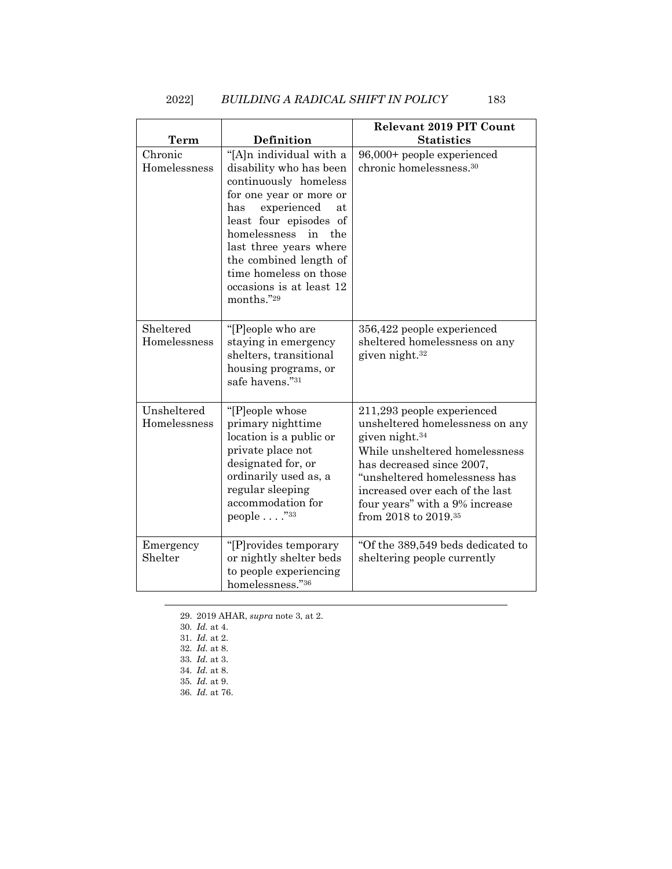# 2022] *BUILDING A RADICAL SHIFT IN POLICY* 183

| <b>Term</b>                 | Definition                                                                                                                                                                                                                                                                                                        | <b>Relevant 2019 PIT Count</b><br><b>Statistics</b>                                                                                                                                                                                                                                                  |
|-----------------------------|-------------------------------------------------------------------------------------------------------------------------------------------------------------------------------------------------------------------------------------------------------------------------------------------------------------------|------------------------------------------------------------------------------------------------------------------------------------------------------------------------------------------------------------------------------------------------------------------------------------------------------|
| Chronic<br>Homelessness     | "[A]n individual with a<br>disability who has been<br>continuously homeless<br>for one year or more or<br>experienced<br>has<br>at<br>least four episodes of<br>homelessness<br>in<br>the<br>last three years where<br>the combined length of<br>time homeless on those<br>occasions is at least 12<br>months."29 | 96,000+ people experienced<br>chronic homelessness. <sup>30</sup>                                                                                                                                                                                                                                    |
| Sheltered<br>Homelessness   | "[P]eople who are<br>staying in emergency<br>shelters, transitional<br>housing programs, or<br>safe havens."31                                                                                                                                                                                                    | 356,422 people experienced<br>sheltered homelessness on any<br>given night. <sup>32</sup>                                                                                                                                                                                                            |
| Unsheltered<br>Homelessness | "[P]eople whose<br>primary nighttime<br>location is a public or<br>private place not<br>designated for, or<br>ordinarily used as, a<br>regular sleeping<br>accommodation for<br>people $\ldots$ ."33                                                                                                              | 211,293 people experienced<br>unsheltered homelessness on any<br>given night. <sup>34</sup><br>While unsheltered homelessness<br>has decreased since 2007,<br>"unsheltered homelessness has<br>increased over each of the last<br>four years" with a 9% increase<br>from 2018 to 2019. <sup>35</sup> |
| Emergency<br>Shelter        | "[P] rovides temporary<br>or nightly shelter beds<br>to people experiencing<br>homelessness."36                                                                                                                                                                                                                   | "Of the 389,549 beds dedicated to<br>sheltering people currently                                                                                                                                                                                                                                     |

29. 2019 AHAR, *supra* not[e 3,](#page-1-1) at 2.

<sup>30</sup>*. Id.* at 4.

<sup>31</sup>*. Id.* at 2.

<sup>32</sup>*. Id.* at 8.

<sup>33</sup>*. Id.* at 3.

<sup>34</sup>*. Id.* at 8.

<sup>35</sup>*. Id.* at 9.

<sup>36</sup>*. Id.* at 76.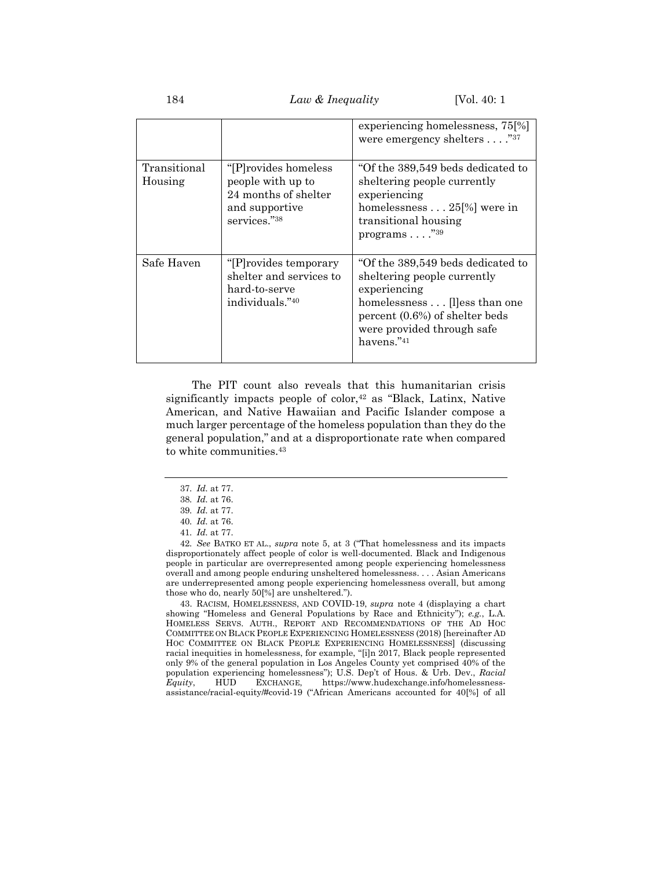184 *Law & Inequality* [Vol. 40: 1

|                         |                                                                                                       | experiencing homelessness, 75[%]<br>were emergency shelters $\dots$ ." <sup>37</sup>                                                                                                                 |
|-------------------------|-------------------------------------------------------------------------------------------------------|------------------------------------------------------------------------------------------------------------------------------------------------------------------------------------------------------|
| Transitional<br>Housing | "[P] rovides homeless"<br>people with up to<br>24 months of shelter<br>and supportive<br>services."38 | "Of the 389,549 beds dedicated to"<br>sheltering people currently<br>experiencing<br>homelessness 25[%] were in<br>transitional housing<br>programs $\ldots$ $\overset{39}{\ldots}$                  |
| Safe Haven              | "[P] rovides temporary"<br>shelter and services to<br>hard-to-serve<br>individuals."40                | "Of the 389,549 beds dedicated to<br>sheltering people currently<br>experiencing<br>homelessness [I]ess than one<br>percent $(0.6\%)$ of shelter beds<br>were provided through safe<br>havens. $"41$ |

The PIT count also reveals that this humanitarian crisis significantly impacts people of color, $42$  as "Black, Latinx, Native American, and Native Hawaiian and Pacific Islander compose a much larger percentage of the homeless population than they do the general population," and at a disproportionate rate when compared to white communities.<sup>43</sup>

43. RACISM, HOMELESSNESS, AND COVID-19, *supra* note [4](#page-2-2) (displaying a chart showing "Homeless and General Populations by Race and Ethnicity"); *e.g.*, L.A. HOMELESS SERVS. AUTH., REPORT AND RECOMMENDATIONS OF THE AD HOC COMMITTEE ON BLACK PEOPLE EXPERIENCING HOMELESSNESS (2018) [hereinafter AD HOC COMMITTEE ON BLACK PEOPLE EXPERIENCING HOMELESSNESS] (discussing racial inequities in homelessness, for example, "[i]n 2017, Black people represented only 9% of the general population in Los Angeles County yet comprised 40% of the population experiencing homelessness"); U.S. Dep't of Hous. & Urb. Dev., *Racial Equity*, HUD EXCHANGE, https://www.hudexchange.info/homelessnessassistance/racial-equity/#covid-19 ("African Americans accounted for 40[%] of all

<span id="page-8-0"></span><sup>37</sup>*. Id.* at 77.

<sup>38</sup>*. Id.* at 76.

<sup>39</sup>*. Id.* at 77.

<sup>40</sup>*. Id.* at 76. 41*. Id.* at 77.

<sup>42</sup>*. See* BATKO ET AL., *supra* note [5,](#page-2-1) at 3 ("That homelessness and its impacts disproportionately affect people of color is well-documented. Black and Indigenous people in particular are overrepresented among people experiencing homelessness overall and among people enduring unsheltered homelessness. . . . Asian Americans are underrepresented among people experiencing homelessness overall, but among those who do, nearly 50[%] are unsheltered.").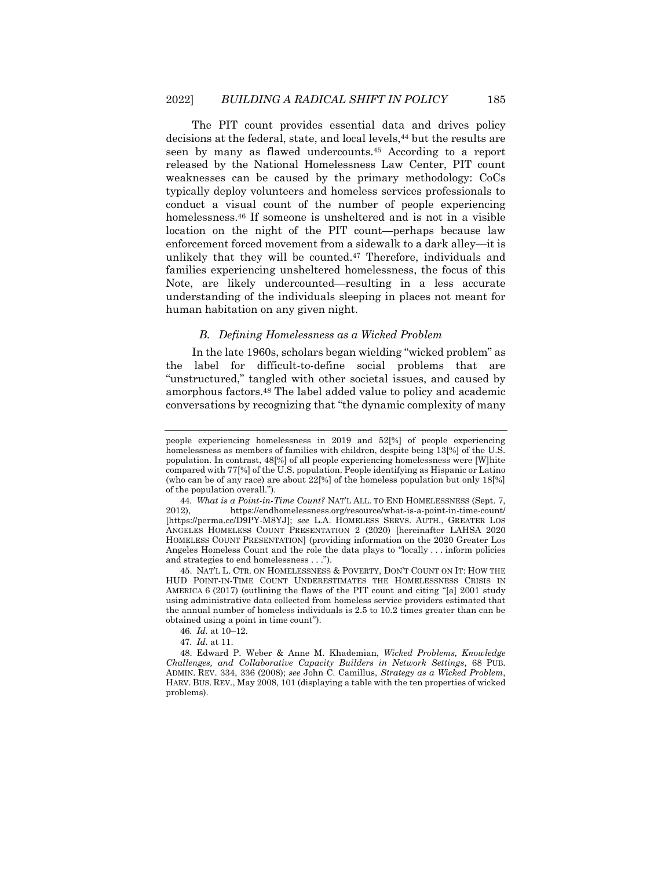<span id="page-9-1"></span>The PIT count provides essential data and drives policy decisions at the federal, state, and local levels,<sup>44</sup> but the results are seen by many as flawed undercounts.<sup>45</sup> According to a report released by the National Homelessness Law Center, PIT count weaknesses can be caused by the primary methodology: CoCs typically deploy volunteers and homeless services professionals to conduct a visual count of the number of people experiencing homelessness.<sup>46</sup> If someone is unsheltered and is not in a visible location on the night of the PIT count—perhaps because law enforcement forced movement from a sidewalk to a dark alley—it is unlikely that they will be counted.<sup>47</sup> Therefore, individuals and families experiencing unsheltered homelessness, the focus of this Note, are likely undercounted—resulting in a less accurate understanding of the individuals sleeping in places not meant for human habitation on any given night.

## <span id="page-9-0"></span>*B. Defining Homelessness as a Wicked Problem*

In the late 1960s, scholars began wielding "wicked problem" as the label for difficult-to-define social problems that are "unstructured," tangled with other societal issues, and caused by amorphous factors.<sup>48</sup> The label added value to policy and academic conversations by recognizing that "the dynamic complexity of many

people experiencing homelessness in 2019 and 52[%] of people experiencing homelessness as members of families with children, despite being 13[%] of the U.S. population. In contrast, 48[%] of all people experiencing homelessness were [W]hite compared with 77[%] of the U.S. population. People identifying as Hispanic or Latino (who can be of any race) are about  $22[\%]$  of the homeless population but only  $18[\%]$ of the population overall.").

<sup>44</sup>*. What is a Point-in-Time Count?* NAT'L ALL. TO END HOMELESSNESS (Sept. 7, 2012), https://endhomelessness.org/resource/what-is-a-point-in-time-count/ [https://perma.cc/D9PY-M8YJ]; *see* L.A. HOMELESS SERVS. AUTH., GREATER LOS ANGELES HOMELESS COUNT PRESENTATION 2 (2020) [hereinafter LAHSA 2020 HOMELESS COUNT PRESENTATION] (providing information on the 2020 Greater Los Angeles Homeless Count and the role the data plays to "locally . . . inform policies and strategies to end homelessness . . .").

<sup>45.</sup> NAT'L L. CTR. ON HOMELESSNESS & POVERTY, DON'T COUNT ON IT: HOW THE HUD POINT-IN-TIME COUNT UNDERESTIMATES THE HOMELESSNESS CRISIS IN AMERICA 6 (2017) (outlining the flaws of the PIT count and citing "[a] 2001 study using administrative data collected from homeless service providers estimated that the annual number of homeless individuals is 2.5 to 10.2 times greater than can be obtained using a point in time count").

<sup>46</sup>*. Id.* at 10–12.

<sup>47</sup>*. Id.* at 11.

<sup>48.</sup> Edward P. Weber & Anne M. Khademian, *Wicked Problems, Knowledge Challenges, and Collaborative Capacity Builders in Network Settings*, 68 PUB. ADMIN. REV. 334, 336 (2008); *see* John C. Camillus, *Strategy as a Wicked Problem*, HARV. BUS. REV., May 2008, 101 (displaying a table with the ten properties of wicked problems).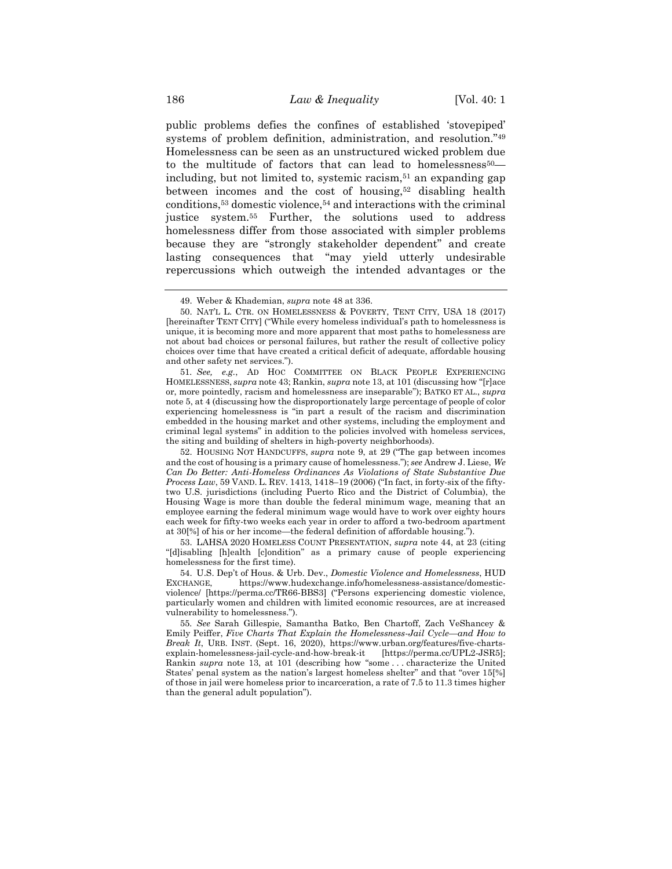<span id="page-10-0"></span>public problems defies the confines of established 'stovepiped' systems of problem definition, administration, and resolution."<sup>49</sup> Homelessness can be seen as an unstructured wicked problem due to the multitude of factors that can lead to homelessness<sup>50</sup> including, but not limited to, systemic racism, $51$  an expanding gap between incomes and the cost of housing,<sup>52</sup> disabling health conditions,<sup>53</sup> domestic violence,<sup>54</sup> and interactions with the criminal justice system.<sup>55</sup> Further, the solutions used to address homelessness differ from those associated with simpler problems because they are "strongly stakeholder dependent" and create lasting consequences that "may yield utterly undesirable repercussions which outweigh the intended advantages or the

51*. See, e.g.*, AD HOC COMMITTEE ON BLACK PEOPLE EXPERIENCING HOMELESSNESS, *supra* note [43;](#page-8-0) Rankin, *supra* not[e 13,](#page-3-0) at 101 (discussing how "[r]ace or, more pointedly, racism and homelessness are inseparable"); BATKO ET AL., *supra*  not[e 5,](#page-2-1) at 4 (discussing how the disproportionately large percentage of people of color experiencing homelessness is "in part a result of the racism and discrimination embedded in the housing market and other systems, including the employment and criminal legal systems" in addition to the policies involved with homeless services, the siting and building of shelters in high-poverty neighborhoods).

52. HOUSING NOT HANDCUFFS, *supra* note [9,](#page-2-0) at 29 ("The gap between incomes and the cost of housing is a primary cause of homelessness."); *see* Andrew J. Liese, *We Can Do Better: Anti-Homeless Ordinances As Violations of State Substantive Due Process Law*, 59 VAND. L. REV. 1413, 1418–19 (2006) ("In fact, in forty-six of the fiftytwo U.S. jurisdictions (including Puerto Rico and the District of Columbia), the Housing Wage is more than double the federal minimum wage, meaning that an employee earning the federal minimum wage would have to work over eighty hours each week for fifty-two weeks each year in order to afford a two-bedroom apartment at 30[%] of his or her income—the federal definition of affordable housing.").

53. LAHSA 2020 HOMELESS COUNT PRESENTATION, *supra* note [44,](#page-9-1) at 23 (citing "[d]isabling [h]ealth [c]ondition" as a primary cause of people experiencing homelessness for the first time).

54. U.S. Dep't of Hous. & Urb. Dev., *Domestic Violence and Homelessness*, HUD EXCHANGE, https://www.hudexchange.info/homelessness-assistance/domesticviolence/ [https://perma.cc/TR66-BBS3] ("Persons experiencing domestic violence, particularly women and children with limited economic resources, are at increased vulnerability to homelessness.").

55*. See* Sarah Gillespie, Samantha Batko, Ben Chartoff, Zach VeShancey & Emily Peiffer, *Five Charts That Explain the Homelessness-Jail Cycle—and How to Break It*, URB. INST. (Sept. 16, 2020), https://www.urban.org/features/five-chartsexplain-homelessness-jail-cycle-and-how-break-it [https://perma.cc/UPL2-JSR5]; Rankin *supra* note [13,](#page-3-0) at 101 (describing how "some . . . characterize the United States' penal system as the nation's largest homeless shelter" and that "over 15[%] of those in jail were homeless prior to incarceration, a rate of 7.5 to 11.3 times higher than the general adult population").

<sup>49.</sup> Weber & Khademian, *supra* not[e 48](#page-9-0) at 336.

<sup>50.</sup> NAT'L L. CTR. ON HOMELESSNESS & POVERTY, TENT CITY, USA 18 (2017) [hereinafter TENT CITY] ("While every homeless individual's path to homelessness is unique, it is becoming more and more apparent that most paths to homelessness are not about bad choices or personal failures, but rather the result of collective policy choices over time that have created a critical deficit of adequate, affordable housing and other safety net services.").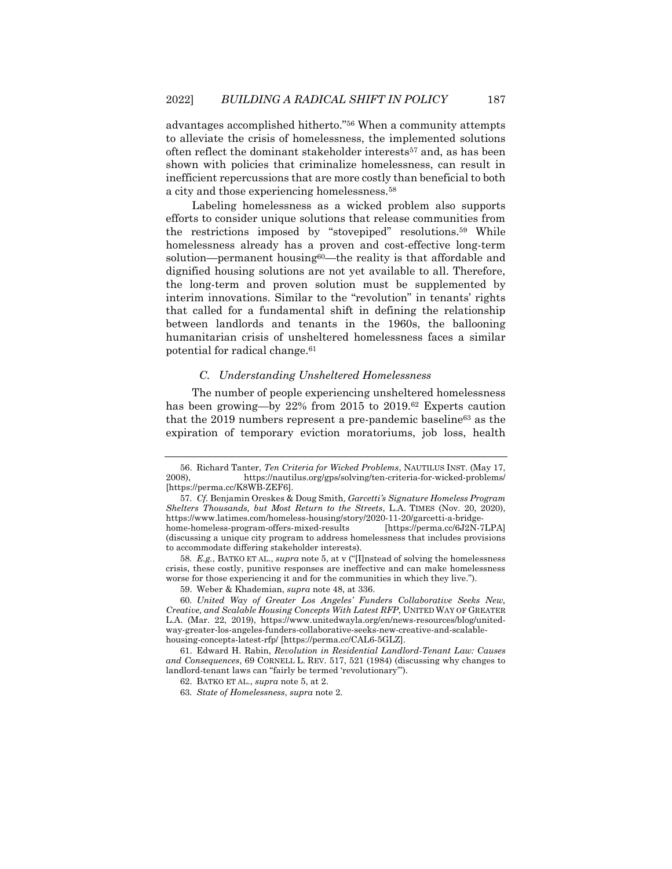<span id="page-11-0"></span>advantages accomplished hitherto."<sup>56</sup> When a community attempts to alleviate the crisis of homelessness, the implemented solutions often reflect the dominant stakeholder interests<sup>57</sup> and, as has been shown with policies that criminalize homelessness, can result in inefficient repercussions that are more costly than beneficial to both a city and those experiencing homelessness.<sup>58</sup>

Labeling homelessness as a wicked problem also supports efforts to consider unique solutions that release communities from the restrictions imposed by "stovepiped" resolutions.<sup>59</sup> While homelessness already has a proven and cost-effective long-term solution—permanent housing<sup>60</sup>—the reality is that affordable and dignified housing solutions are not yet available to all. Therefore, the long-term and proven solution must be supplemented by interim innovations. Similar to the "revolution" in tenants' rights that called for a fundamental shift in defining the relationship between landlords and tenants in the 1960s, the ballooning humanitarian crisis of unsheltered homelessness faces a similar potential for radical change.<sup>61</sup>

#### <span id="page-11-1"></span>*C. Understanding Unsheltered Homelessness*

The number of people experiencing unsheltered homelessness has been growing—by 22% from 2015 to 2019.<sup>62</sup> Experts caution that the 2019 numbers represent a pre-pandemic baseline<sup>63</sup> as the expiration of temporary eviction moratoriums, job loss, health

<sup>56.</sup> Richard Tanter, *Ten Criteria for Wicked Problems*, NAUTILUS INST. (May 17, 2008), https://nautilus.org/gps/solving/ten-criteria-for-wicked-problems/ [https://perma.cc/K8WB-ZEF6].

<sup>57</sup>*. Cf.* Benjamin Oreskes & Doug Smith*, Garcetti's Signature Homeless Program Shelters Thousands, but Most Return to the Streets*, L.A. TIMES (Nov. 20, 2020), https://www.latimes.com/homeless-housing/story/2020-11-20/garcetti-a-bridgehome-homeless-program-offers-mixed-results (discussing a unique city program to address homelessness that includes provisions to accommodate differing stakeholder interests).

<sup>58</sup>*. E.g.*, BATKO ET AL., *supra* note [5,](#page-2-1) at v ("[I]nstead of solving the homelessness crisis, these costly, punitive responses are ineffective and can make homelessness worse for those experiencing it and for the communities in which they live.").

<sup>59.</sup> Weber & Khademian, *supra* not[e 48,](#page-9-0) at 336.

<sup>60</sup>*. United Way of Greater Los Angeles' Funders Collaborative Seeks New, Creative, and Scalable Housing Concepts With Latest RFP*, UNITED WAY OF GREATER L.A. (Mar. 22, 2019), https://www.unitedwayla.org/en/news-resources/blog/unitedway-greater-los-angeles-funders-collaborative-seeks-new-creative-and-scalablehousing-concepts-latest-rfp/ [https://perma.cc/CAL6-5GLZ].

<sup>61.</sup> Edward H. Rabin, *Revolution in Residential Landlord-Tenant Law: Causes and Consequences*, 69 CORNELL L. REV. 517, 521 (1984) (discussing why changes to landlord-tenant laws can "fairly be termed 'revolutionary'").

<sup>62.</sup> BATKO ET AL., *supra* note [5,](#page-2-1) at 2.

<sup>63</sup>*. State of Homelessness*, *supra* not[e 2.](#page-1-2)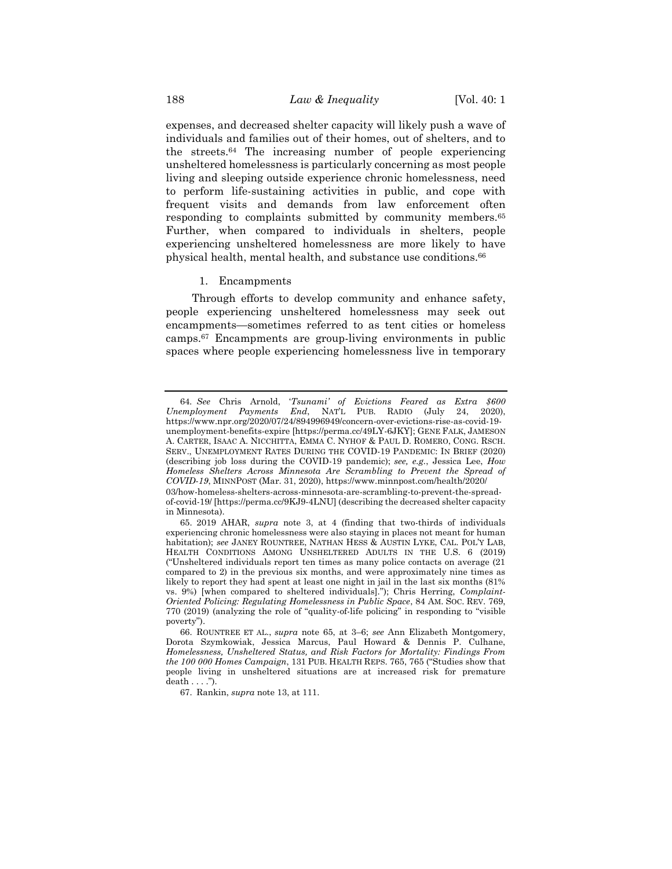expenses, and decreased shelter capacity will likely push a wave of individuals and families out of their homes, out of shelters, and to the streets.<sup>64</sup> The increasing number of people experiencing unsheltered homelessness is particularly concerning as most people living and sleeping outside experience chronic homelessness, need to perform life-sustaining activities in public, and cope with frequent visits and demands from law enforcement often responding to complaints submitted by community members.<sup>65</sup> Further, when compared to individuals in shelters, people experiencing unsheltered homelessness are more likely to have physical health, mental health, and substance use conditions.<sup>66</sup>

#### <span id="page-12-0"></span>1. Encampments

Through efforts to develop community and enhance safety, people experiencing unsheltered homelessness may seek out encampments—sometimes referred to as tent cities or homeless camps.<sup>67</sup> Encampments are group-living environments in public spaces where people experiencing homelessness live in temporary

67. Rankin, *supra* not[e 13,](#page-3-0) at 111.

<sup>64</sup>*. See* Chris Arnold, '*Tsunami' of Evictions Feared as Extra \$600 Unemployment Payments End*, NAT'L PUB. RADIO (July 24, 2020), https://www.npr.org/2020/07/24/894996949/concern-over-evictions-rise-as-covid-19 unemployment-benefits-expire [https://perma.cc/49LY-6JKY]; GENE FALK, JAMESON A. CARTER, ISAAC A. NICCHITTA, EMMA C. NYHOF & PAUL D. ROMERO, CONG. RSCH. SERV., UNEMPLOYMENT RATES DURING THE COVID-19 PANDEMIC: IN BRIEF (2020) (describing job loss during the COVID-19 pandemic); *see, e.g.*, Jessica Lee, *How Homeless Shelters Across Minnesota Are Scrambling to Prevent the Spread of COVID-19*, MINNPOST (Mar. 31, 2020), https://www.minnpost.com/health/2020/ 03/how-homeless-shelters-across-minnesota-are-scrambling-to-prevent-the-spread-

of-covid-19/ [https://perma.cc/9KJ9-4LNU] (describing the decreased shelter capacity in Minnesota).

<sup>65.</sup> 2019 AHAR, *supra* note [3,](#page-1-1) at 4 (finding that two-thirds of individuals experiencing chronic homelessness were also staying in places not meant for human habitation); *see* JANEY ROUNTREE, NATHAN HESS & AUSTIN LYKE, CAL. POL'Y LAB, HEALTH CONDITIONS AMONG UNSHELTERED ADULTS IN THE U.S. 6 (2019) ("Unsheltered individuals report ten times as many police contacts on average (21 compared to 2) in the previous six months, and were approximately nine times as likely to report they had spent at least one night in jail in the last six months (81% vs. 9%) [when compared to sheltered individuals]."); Chris Herring, *Complaint-Oriented Policing: Regulating Homelessness in Public Space*, 84 AM. SOC. REV. 769, 770 (2019) (analyzing the role of "quality-of-life policing" in responding to "visible poverty").

<sup>66.</sup> ROUNTREE ET AL., *supra* note [65,](#page-12-0) at 3–6; *see* Ann Elizabeth Montgomery, Dorota Szymkowiak, Jessica Marcus, Paul Howard & Dennis P. Culhane, *Homelessness, Unsheltered Status, and Risk Factors for Mortality: Findings From the 100 000 Homes Campaign*, 131 PUB. HEALTH REPS. 765, 765 ("Studies show that people living in unsheltered situations are at increased risk for premature  $death \ldots$ .").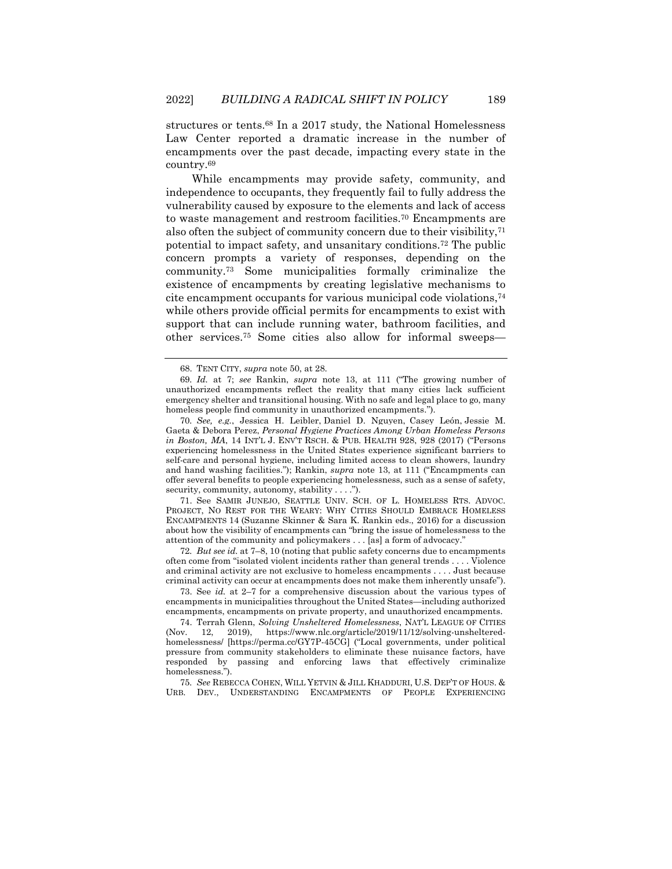structures or tents.<sup>68</sup> In a 2017 study, the National Homelessness Law Center reported a dramatic increase in the number of encampments over the past decade, impacting every state in the country.<sup>69</sup>

While encampments may provide safety, community, and independence to occupants, they frequently fail to fully address the vulnerability caused by exposure to the elements and lack of access to waste management and restroom facilities.<sup>70</sup> Encampments are also often the subject of community concern due to their visibility,<sup>71</sup> potential to impact safety, and unsanitary conditions.<sup>72</sup> The public concern prompts a variety of responses, depending on the community.<sup>73</sup> Some municipalities formally criminalize the existence of encampments by creating legislative mechanisms to cite encampment occupants for various municipal code violations, 74 while others provide official permits for encampments to exist with support that can include running water, bathroom facilities, and other services.<sup>75</sup> Some cities also allow for informal sweeps—

71. See SAMIR JUNEJO, SEATTLE UNIV. SCH. OF L. HOMELESS RTS. ADVOC. PROJECT, NO REST FOR THE WEARY: WHY CITIES SHOULD EMBRACE HOMELESS ENCAMPMENTS 14 (Suzanne Skinner & Sara K. Rankin eds., 2016) for a discussion about how the visibility of encampments can "bring the issue of homelessness to the attention of the community and policymakers . . . [as] a form of advocacy."

72*. But see id.* at 7–8, 10 (noting that public safety concerns due to encampments often come from "isolated violent incidents rather than general trends . . . . Violence and criminal activity are not exclusive to homeless encampments . . . . Just because criminal activity can occur at encampments does not make them inherently unsafe").

73. See *id.* at 2–7 for a comprehensive discussion about the various types of encampments in municipalities throughout the United States—including authorized encampments, encampments on private property, and unauthorized encampments.

74. Terrah Glenn, *Solving Unsheltered Homelessness*, NAT'L LEAGUE OF CITIES (Nov. 12, 2019), https://www.nlc.org/article/2019/11/12/solving-unshelteredhomelessness/ [https://perma.cc/GY7P-45CG] ("Local governments, under political pressure from community stakeholders to eliminate these nuisance factors, have responded by passing and enforcing laws that effectively criminalize homelessness.").

75*. See* REBECCA COHEN, WILL YETVIN & JILL KHADDURI, U.S. DEP'T OF HOUS. & URB. DEV., UNDERSTANDING ENCAMPMENTS OF PEOPLE EXPERIENCING

<span id="page-13-2"></span><span id="page-13-0"></span>

<span id="page-13-1"></span><sup>68.</sup> TENT CITY, *supra* note [50,](#page-10-0) at 28.

<sup>69</sup>*. Id.* at 7; *see* Rankin, *supra* note [13,](#page-3-0) at 111 ("The growing number of unauthorized encampments reflect the reality that many cities lack sufficient emergency shelter and transitional housing. With no safe and legal place to go, many homeless people find community in unauthorized encampments.").

<sup>70</sup>*. See, e.g.*, Jessica H. Leibler, Daniel D. Nguyen, Casey León, Jessie M. Gaeta & Debora Perez, *Personal Hygiene Practices Among Urban Homeless Persons in Boston, MA*, 14 INT'L J. ENV'T RSCH. & PUB. HEALTH 928, 928 (2017) ("Persons experiencing homelessness in the United States experience significant barriers to self-care and personal hygiene, including limited access to clean showers, laundry and hand washing facilities."); Rankin, *supra* note [13,](#page-3-0) at 111 ("Encampments can offer several benefits to people experiencing homelessness, such as a sense of safety, security, community, autonomy, stability . . . .").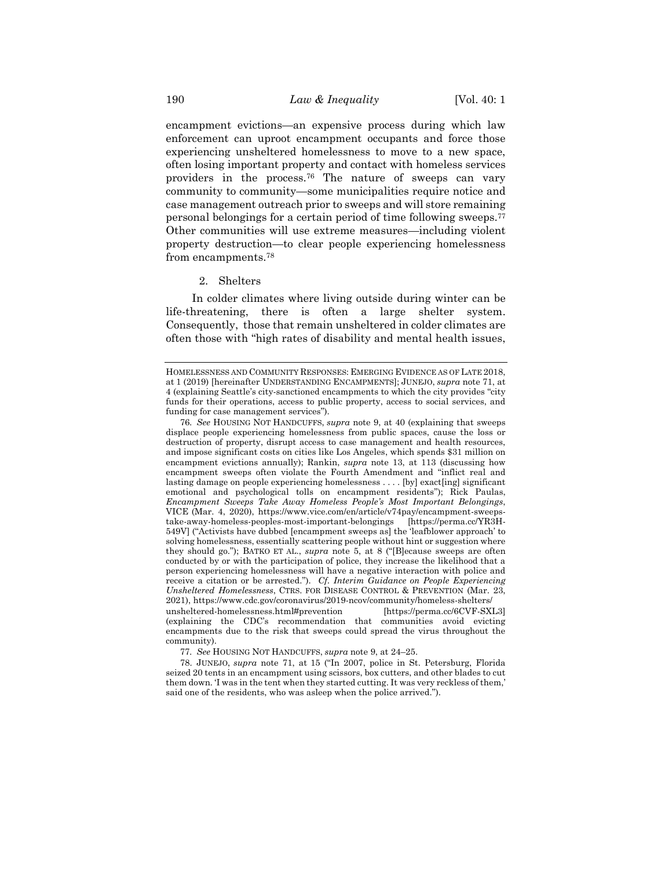encampment evictions—an expensive process during which law enforcement can uproot encampment occupants and force those experiencing unsheltered homelessness to move to a new space, often losing important property and contact with homeless services providers in the process.<sup>76</sup> The nature of sweeps can vary community to community—some municipalities require notice and case management outreach prior to sweeps and will store remaining personal belongings for a certain period of time following sweeps.<sup>77</sup> Other communities will use extreme measures—including violent property destruction—to clear people experiencing homelessness from encampments.<sup>78</sup>

#### 2. Shelters

In colder climates where living outside during winter can be life-threatening, there is often a large shelter system. Consequently, those that remain unsheltered in colder climates are often those with "high rates of disability and mental health issues,

HOMELESSNESS AND COMMUNITY RESPONSES: EMERGING EVIDENCE AS OF LATE 2018, at 1 (2019) [hereinafter UNDERSTANDING ENCAMPMENTS]; JUNEJO, *supra* note [71,](#page-13-0) at 4 (explaining Seattle's city-sanctioned encampments to which the city provides "city funds for their operations, access to public property, access to social services, and funding for case management services").

<sup>76</sup>*. See* HOUSING NOT HANDCUFFS, *supra* note [9,](#page-2-0) at 40 (explaining that sweeps displace people experiencing homelessness from public spaces, cause the loss or destruction of property, disrupt access to case management and health resources, and impose significant costs on cities like Los Angeles, which spends \$31 million on encampment evictions annually); Rankin, *supra* note [13,](#page-3-0) at 113 (discussing how encampment sweeps often violate the Fourth Amendment and "inflict real and lasting damage on people experiencing homelessness . . . . [by] exact[ing] significant emotional and psychological tolls on encampment residents"); Rick Paulas, *Encampment Sweeps Take Away Homeless People's Most Important Belongings*, VICE (Mar. 4, 2020), https://www.vice.com/en/article/v74pay/encampment-sweepstake-away-homeless-peoples-most-important-belongings [https://perma.cc/YR3H-549V] ("Activists have dubbed [encampment sweeps as] the 'leafblower approach' to solving homelessness, essentially scattering people without hint or suggestion where they should go."); BATKO ET AL., *supra* note [5,](#page-2-1) at 8 ("[B]ecause sweeps are often conducted by or with the participation of police, they increase the likelihood that a person experiencing homelessness will have a negative interaction with police and receive a citation or be arrested."). *Cf. Interim Guidance on People Experiencing Unsheltered Homelessness*, CTRS. FOR DISEASE CONTROL & PREVENTION (Mar. 23, 2021), https://www.cdc.gov/coronavirus/2019-ncov/community/homeless-shelters/ unsheltered-homelessness.html#prevention [https://perma.cc/6CVF-SXL3] (explaining the CDC's recommendation that communities avoid evicting encampments due to the risk that sweeps could spread the virus throughout the community).

<sup>77</sup>*. See* HOUSING NOT HANDCUFFS, *supra* not[e 9,](#page-2-0) at 24–25.

<sup>78.</sup> JUNEJO, *supra* note [71,](#page-13-0) at 15 ("In 2007, police in St. Petersburg, Florida seized 20 tents in an encampment using scissors, box cutters, and other blades to cut them down. 'I was in the tent when they started cutting. It was very reckless of them,' said one of the residents, who was asleep when the police arrived.").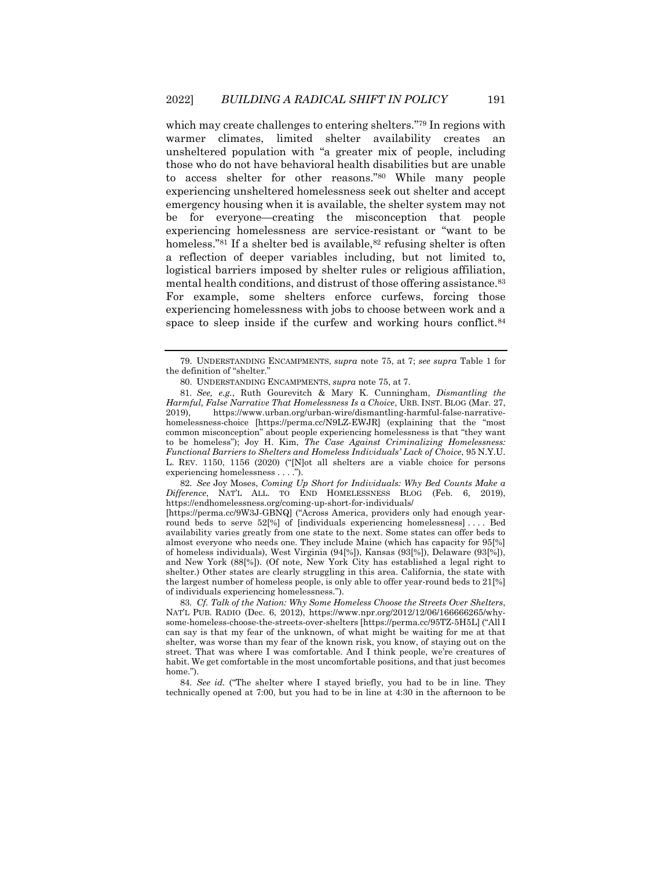<span id="page-15-1"></span>which may create challenges to entering shelters." <sup>79</sup> In regions with warmer climates, limited shelter availability creates an unsheltered population with "a greater mix of people, including those who do not have behavioral health disabilities but are unable to access shelter for other reasons."<sup>80</sup> While many people experiencing unsheltered homelessness seek out shelter and accept emergency housing when it is available, the shelter system may not be for everyone—creating the misconception that people experiencing homelessness are service-resistant or "want to be homeless."81 If a shelter bed is available, 82 refusing shelter is often a reflection of deeper variables including, but not limited to, logistical barriers imposed by shelter rules or religious affiliation, mental health conditions, and distrust of those offering assistance.<sup>83</sup> For example, some shelters enforce curfews, forcing those experiencing homelessness with jobs to choose between work and a space to sleep inside if the curfew and working hours conflict.<sup>84</sup>

82*. See* Joy Moses, *Coming Up Short for Individuals: Why Bed Counts Make a Difference*, NAT'L ALL. TO END HOMELESSNESS BLOG (Feb. 6, 2019), https://endhomelessness.org/coming-up-short-for-individuals/

[https://perma.cc/9W3J-GBNQ] ("Across America, providers only had enough yearround beds to serve 52[%] of [individuals experiencing homelessness] . . . . Bed availability varies greatly from one state to the next. Some states can offer beds to almost everyone who needs one. They include Maine (which has capacity for 95[%] of homeless individuals), West Virginia (94[%]), Kansas (93[%]), Delaware (93[%]), and New York (88[%]). (Of note, New York City has established a legal right to shelter.) Other states are clearly struggling in this area. California, the state with the largest number of homeless people, is only able to offer year-round beds to 21[%] of individuals experiencing homelessness.").

83*. Cf. Talk of the Nation: Why Some Homeless Choose the Streets Over Shelters*, NAT'L PUB. RADIO (Dec. 6, 2012), https://www.npr.org/2012/12/06/166666265/whysome-homeless-choose-the-streets-over-shelters [https://perma.cc/95TZ-5H5L] ("All I can say is that my fear of the unknown, of what might be waiting for me at that shelter, was worse than my fear of the known risk, you know, of staying out on the street. That was where I was comfortable. And I think people, we're creatures of habit. We get comfortable in the most uncomfortable positions, and that just becomes home.").

84*. See id.* ("The shelter where I stayed briefly, you had to be in line. They technically opened at 7:00, but you had to be in line at 4:30 in the afternoon to be

<sup>79.</sup> UNDERSTANDING ENCAMPMENTS, *supra* note [75,](#page-13-1) at 7; *see supra* Table 1 for the definition of "shelter."

<span id="page-15-0"></span><sup>80.</sup> UNDERSTANDING ENCAMPMENTS, *supra* note [75,](#page-13-1) at 7.

<sup>81</sup>*. See, e.g.*, Ruth Gourevitch & Mary K. Cunningham, *Dismantling the Harmful, False Narrative That Homelessness Is a Choice*, URB. INST. BLOG (Mar. 27, 2019), https://www.urban.org/urban-wire/dismantling-harmful-false-narrativehomelessness-choice [https://perma.cc/N9LZ-EWJR] (explaining that the "most common misconception" about people experiencing homelessness is that "they want to be homeless"); Joy H. Kim, *The Case Against Criminalizing Homelessness: Functional Barriers to Shelters and Homeless Individuals' Lack of Choice*, 95 N.Y.U. L. REV. 1150, 1156 (2020) ("[N]ot all shelters are a viable choice for persons experiencing homelessness . . . .").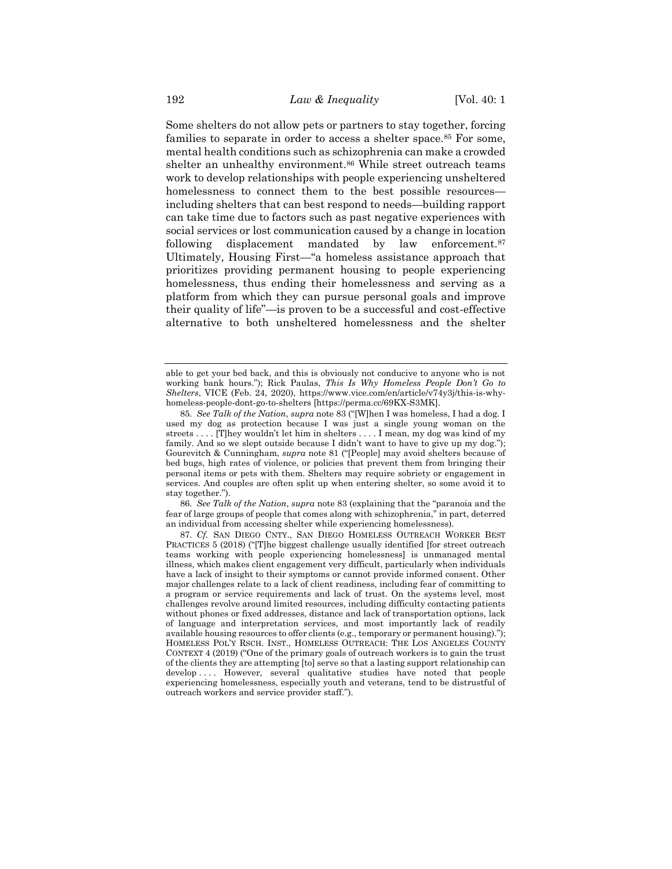Some shelters do not allow pets or partners to stay together, forcing families to separate in order to access a shelter space.<sup>85</sup> For some, mental health conditions such as schizophrenia can make a crowded shelter an unhealthy environment.<sup>86</sup> While street outreach teams work to develop relationships with people experiencing unsheltered homelessness to connect them to the best possible resources including shelters that can best respond to needs—building rapport can take time due to factors such as past negative experiences with social services or lost communication caused by a change in location following displacement mandated by law enforcement.<sup>87</sup> Ultimately, Housing First—"a homeless assistance approach that prioritizes providing permanent housing to people experiencing homelessness, thus ending their homelessness and serving as a platform from which they can pursue personal goals and improve their quality of life"—is proven to be a successful and cost-effective alternative to both unsheltered homelessness and the shelter

86*. See Talk of the Nation*, *supra* not[e 83](#page-15-0) (explaining that the "paranoia and the fear of large groups of people that comes along with schizophrenia," in part, deterred an individual from accessing shelter while experiencing homelessness).

able to get your bed back, and this is obviously not conducive to anyone who is not working bank hours."); Rick Paulas, *This Is Why Homeless People Don't Go to Shelters*, VICE (Feb. 24, 2020), https://www.vice.com/en/article/v74y3j/this-is-whyhomeless-people-dont-go-to-shelters [https://perma.cc/69KX-S3MK].

<sup>85</sup>*. See Talk of the Nation*, *supra* not[e 83](#page-15-0) ("[W]hen I was homeless, I had a dog. I used my dog as protection because I was just a single young woman on the streets . . . . [T]hey wouldn't let him in shelters . . . . I mean, my dog was kind of my family. And so we slept outside because I didn't want to have to give up my dog."); Gourevitch & Cunningham, *supra* note [81](#page-15-1) ("[People] may avoid shelters because of bed bugs, high rates of violence, or policies that prevent them from bringing their personal items or pets with them. Shelters may require sobriety or engagement in services. And couples are often split up when entering shelter, so some avoid it to stay together.").

<sup>87</sup>*. Cf.* SAN DIEGO CNTY., SAN DIEGO HOMELESS OUTREACH WORKER BEST PRACTICES 5 (2018) ("[T]he biggest challenge usually identified [for street outreach teams working with people experiencing homelessness] is unmanaged mental illness, which makes client engagement very difficult, particularly when individuals have a lack of insight to their symptoms or cannot provide informed consent. Other major challenges relate to a lack of client readiness, including fear of committing to a program or service requirements and lack of trust. On the systems level, most challenges revolve around limited resources, including difficulty contacting patients without phones or fixed addresses, distance and lack of transportation options, lack of language and interpretation services, and most importantly lack of readily available housing resources to offer clients (e.g., temporary or permanent housing)."); HOMELESS POL'Y RSCH. INST., HOMELESS OUTREACH: THE LOS ANGELES COUNTY CONTEXT 4 (2019) ("One of the primary goals of outreach workers is to gain the trust of the clients they are attempting [to] serve so that a lasting support relationship can develop .... However, several qualitative studies have noted that people experiencing homelessness, especially youth and veterans, tend to be distrustful of outreach workers and service provider staff.").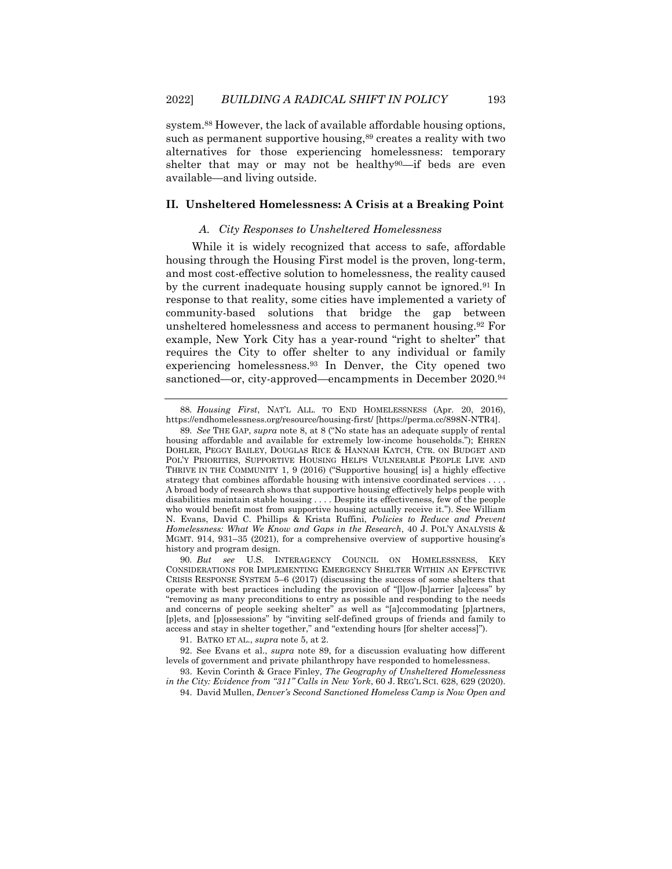system.<sup>88</sup> However, the lack of available affordable housing options, such as permanent supportive housing, 89 creates a reality with two alternatives for those experiencing homelessness: temporary shelter that may or may not be healthy $90$ —if beds are even available—and living outside.

# **II. Unsheltered Homelessness: A Crisis at a Breaking Point**

# <span id="page-17-0"></span>*A. City Responses to Unsheltered Homelessness*

While it is widely recognized that access to safe, affordable housing through the Housing First model is the proven, long-term, and most cost-effective solution to homelessness, the reality caused by the current inadequate housing supply cannot be ignored.<sup>91</sup> In response to that reality, some cities have implemented a variety of community-based solutions that bridge the gap between unsheltered homelessness and access to permanent housing.<sup>92</sup> For example, New York City has a year-round "right to shelter" that requires the City to offer shelter to any individual or family experiencing homelessness.<sup>93</sup> In Denver, the City opened two sanctioned—or, city-approved—encampments in December 2020.<sup>94</sup>

91. BATKO ET AL., *supra* note [5,](#page-2-1) at 2.

92. See Evans et al., *supra* note [89,](#page-17-0) for a discussion evaluating how different levels of government and private philanthropy have responded to homelessness.

93. Kevin Corinth & Grace Finley, *The Geography of Unsheltered Homelessness in the City: Evidence from "311" Calls in New York*, 60 J. REG'L SCI. 628, 629 (2020).

94. David Mullen, *Denver's Second Sanctioned Homeless Camp is Now Open and* 

<sup>88</sup>*. Housing First*, NAT'L ALL. TO END HOMELESSNESS (Apr. 20, 2016), https://endhomelessness.org/resource/housing-first/ [https://perma.cc/898N-NTR4].

<sup>89</sup>*. See* THE GAP, *supra* note [8,](#page-2-3) at 8 ("No state has an adequate supply of rental housing affordable and available for extremely low-income households."); EHREN DOHLER, PEGGY BAILEY, DOUGLAS RICE & HANNAH KATCH, CTR. ON BUDGET AND POL'Y PRIORITIES, SUPPORTIVE HOUSING HELPS VULNERABLE PEOPLE LIVE AND THRIVE IN THE COMMUNITY 1, 9 (2016) ("Supportive housing[ is] a highly effective strategy that combines affordable housing with intensive coordinated services . . . . A broad body of research shows that supportive housing effectively helps people with disabilities maintain stable housing . . . . Despite its effectiveness, few of the people who would benefit most from supportive housing actually receive it."). See William N. Evans, David C. Phillips & Krista Ruffini, *Policies to Reduce and Prevent Homelessness: What We Know and Gaps in the Research*, 40 J. POL'Y ANALYSIS & MGMT. 914, 931–35 (2021), for a comprehensive overview of supportive housing's history and program design.

<sup>90</sup>*. But see* U.S. INTERAGENCY COUNCIL ON HOMELESSNESS, KEY CONSIDERATIONS FOR IMPLEMENTING EMERGENCY SHELTER WITHIN AN EFFECTIVE CRISIS RESPONSE SYSTEM 5–6 (2017) (discussing the success of some shelters that operate with best practices including the provision of "[l]ow-[b]arrier [a]ccess" by "removing as many preconditions to entry as possible and responding to the needs and concerns of people seeking shelter" as well as "[a]ccommodating [p]artners, [p]ets, and [p]ossessions" by "inviting self-defined groups of friends and family to access and stay in shelter together," and "extending hours [for shelter access]").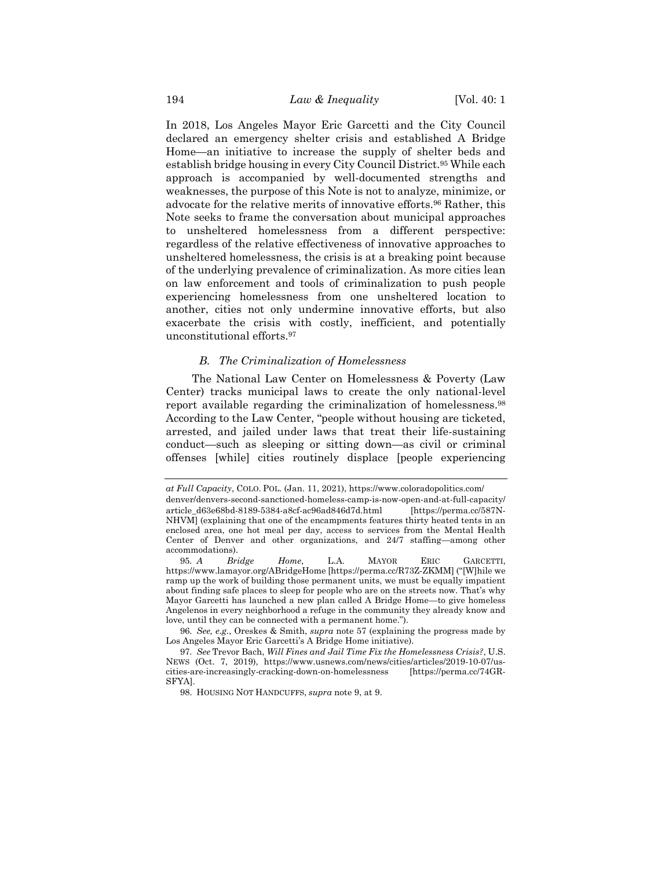In 2018, Los Angeles Mayor Eric Garcetti and the City Council declared an emergency shelter crisis and established A Bridge Home—an initiative to increase the supply of shelter beds and establish bridge housing in every City Council District.<sup>95</sup> While each approach is accompanied by well-documented strengths and weaknesses, the purpose of this Note is not to analyze, minimize, or advocate for the relative merits of innovative efforts.<sup>96</sup> Rather, this Note seeks to frame the conversation about municipal approaches to unsheltered homelessness from a different perspective: regardless of the relative effectiveness of innovative approaches to unsheltered homelessness, the crisis is at a breaking point because of the underlying prevalence of criminalization. As more cities lean on law enforcement and tools of criminalization to push people experiencing homelessness from one unsheltered location to another, cities not only undermine innovative efforts, but also exacerbate the crisis with costly, inefficient, and potentially unconstitutional efforts.<sup>97</sup>

# *B. The Criminalization of Homelessness*

The National Law Center on Homelessness & Poverty (Law Center) tracks municipal laws to create the only national-level report available regarding the criminalization of homelessness.<sup>98</sup> According to the Law Center, "people without housing are ticketed, arrested, and jailed under laws that treat their life-sustaining conduct—such as sleeping or sitting down—as civil or criminal offenses [while] cities routinely displace [people experiencing

96*. See, e.g.*, Oreskes & Smith, *supra* note [57](#page-11-0) (explaining the progress made by Los Angeles Mayor Eric Garcetti's A Bridge Home initiative).

*at Full Capacity*, COLO. POL. (Jan. 11, 2021), https://www.coloradopolitics.com/ denver/denvers-second-sanctioned-homeless-camp-is-now-open-and-at-full-capacity/ article\_d63e68bd-8189-5384-a8cf-ac96ad846d7d.html [https://perma.cc/587N-NHVM] (explaining that one of the encampments features thirty heated tents in an enclosed area, one hot meal per day, access to services from the Mental Health Center of Denver and other organizations, and 24/7 staffing—among other accommodations).

<sup>95</sup>*. A Bridge Home*, L.A. MAYOR ERIC GARCETTI, https://www.lamayor.org/ABridgeHome [https://perma.cc/R73Z-ZKMM] ("[W]hile we ramp up the work of building those permanent units, we must be equally impatient about finding safe places to sleep for people who are on the streets now. That's why Mayor Garcetti has launched a new plan called A Bridge Home—to give homeless Angelenos in every neighborhood a refuge in the community they already know and love, until they can be connected with a permanent home.").

<sup>97</sup>*. See* Trevor Bach, *Will Fines and Jail Time Fix the Homelessness Crisis?*, U.S. NEWS (Oct. 7, 2019), https://www.usnews.com/news/cities/articles/2019-10-07/uscities-are-increasingly-cracking-down-on-homelessness [https://perma.cc/74GR-SFYA].

<sup>98.</sup> HOUSING NOT HANDCUFFS, *supra* note [9,](#page-2-0) at 9.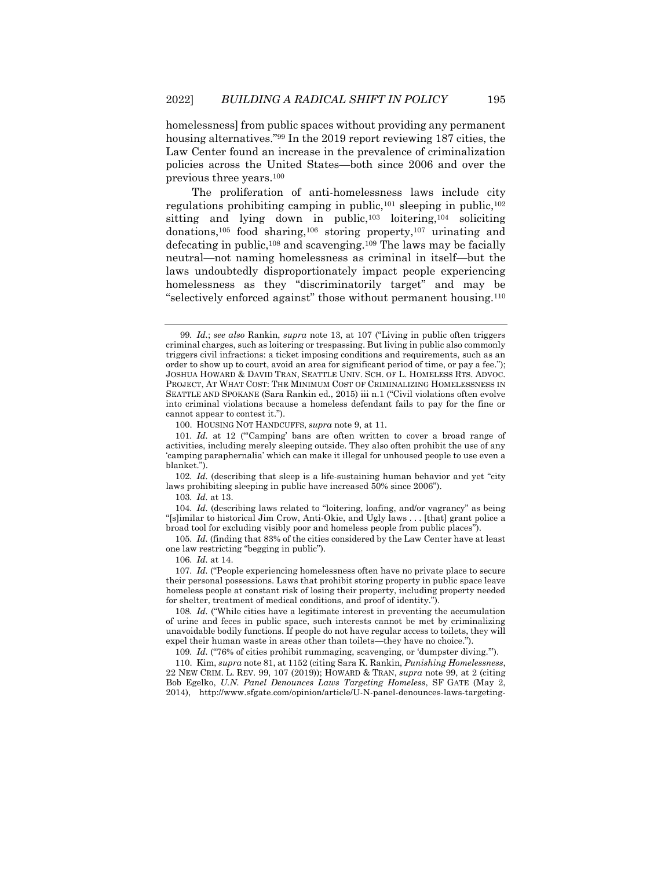<span id="page-19-0"></span>homelessness] from public spaces without providing any permanent housing alternatives."<sup>99</sup> In the 2019 report reviewing 187 cities, the Law Center found an increase in the prevalence of criminalization policies across the United States—both since 2006 and over the previous three years. 100

The proliferation of anti-homelessness laws include city regulations prohibiting camping in public,  $101$  sleeping in public,  $102$ sitting and lying down in public,<sup>103</sup> loitering,<sup>104</sup> soliciting donations,<sup>105</sup> food sharing,<sup>106</sup> storing property,<sup>107</sup> urinating and defecating in public,<sup>108</sup> and scavenging.<sup>109</sup> The laws may be facially neutral—not naming homelessness as criminal in itself—but the laws undoubtedly disproportionately impact people experiencing homelessness as they "discriminatorily target" and may be "selectively enforced against" those without permanent housing.<sup>110</sup>

102*. Id.* (describing that sleep is a life-sustaining human behavior and yet "city laws prohibiting sleeping in public have increased 50% since 2006").

103*. Id.* at 13.

104*. Id.* (describing laws related to "loitering, loafing, and/or vagrancy" as being "[s]imilar to historical Jim Crow, Anti-Okie, and Ugly laws . . . [that] grant police a broad tool for excluding visibly poor and homeless people from public places").

105*. Id.* (finding that 83% of the cities considered by the Law Center have at least one law restricting "begging in public").

106*. Id.* at 14.

107*. Id.* ("People experiencing homelessness often have no private place to secure their personal possessions. Laws that prohibit storing property in public space leave homeless people at constant risk of losing their property, including property needed for shelter, treatment of medical conditions, and proof of identity.").

108*. Id.* ("While cities have a legitimate interest in preventing the accumulation of urine and feces in public space, such interests cannot be met by criminalizing unavoidable bodily functions. If people do not have regular access to toilets, they will expel their human waste in areas other than toilets—they have no choice.").

109*. Id.* ("76% of cities prohibit rummaging, scavenging, or 'dumpster diving.'").

110. Kim, *supra* not[e 81,](#page-15-1) at 1152 (citing Sara K. Rankin, *Punishing Homelessness*, 22 NEW CRIM. L. REV. 99, 107 (2019)); HOWARD & TRAN, *supra* note [99,](#page-19-0) at 2 (citing Bob Egelko, *U.N. Panel Denounces Laws Targeting Homeless*, SF GATE (May 2, 2014), http://www.sfgate.com/opinion/article/U-N-panel-denounces-laws-targeting-

<sup>99</sup>*. Id.*; *see also* Rankin, *supra* note [13,](#page-3-0) at 107 ("Living in public often triggers criminal charges, such as loitering or trespassing. But living in public also commonly triggers civil infractions: a ticket imposing conditions and requirements, such as an order to show up to court, avoid an area for significant period of time, or pay a fee."); JOSHUA HOWARD & DAVID TRAN, SEATTLE UNIV. SCH. OF L. HOMELESS RTS. ADVOC. PROJECT, AT WHAT COST: THE MINIMUM COST OF CRIMINALIZING HOMELESSNESS IN SEATTLE AND SPOKANE (Sara Rankin ed., 2015) iii n.1 ("Civil violations often evolve into criminal violations because a homeless defendant fails to pay for the fine or cannot appear to contest it.").

<sup>100.</sup> HOUSING NOT HANDCUFFS, *supra* note [9,](#page-2-0) at 11.

<sup>101</sup>*. Id.* at 12 ("'Camping' bans are often written to cover a broad range of activities, including merely sleeping outside. They also often prohibit the use of any 'camping paraphernalia' which can make it illegal for unhoused people to use even a blanket.").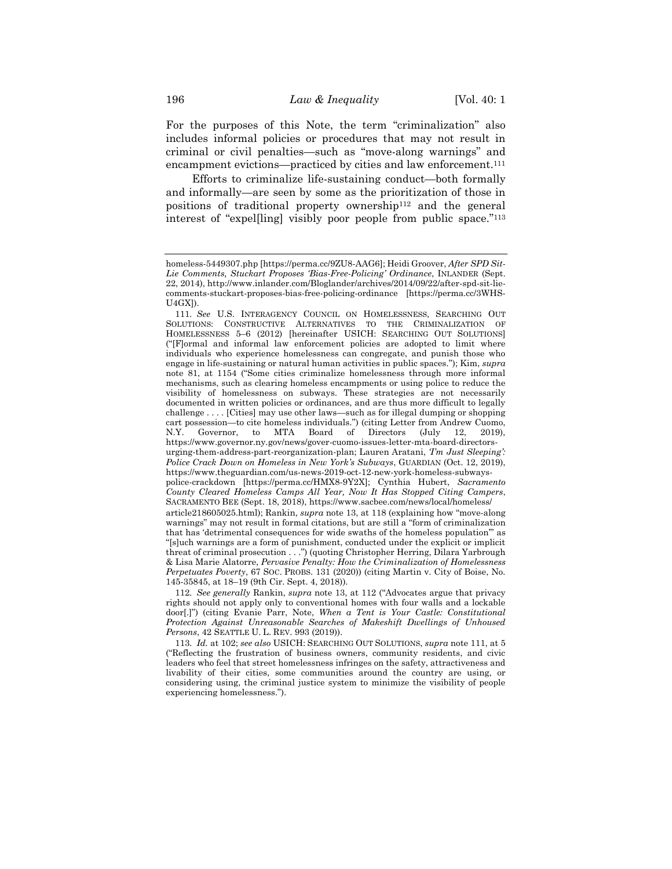For the purposes of this Note, the term "criminalization" also includes informal policies or procedures that may not result in criminal or civil penalties—such as "move-along warnings" and encampment evictions—practiced by cities and law enforcement.<sup>111</sup>

<span id="page-20-0"></span>Efforts to criminalize life-sustaining conduct—both formally and informally—are seen by some as the prioritization of those in positions of traditional property ownership<sup>112</sup> and the general interest of "expel[ling] visibly poor people from public space."<sup>113</sup>

homeless-5449307.php [https://perma.cc/9ZU8-AAG6]; Heidi Groover, *After SPD Sit-Lie Comments, Stuckart Proposes 'Bias-Free-Policing' Ordinance*, INLANDER (Sept. 22, 2014), http://www.inlander.com/Bloglander/archives/2014/09/22/after-spd-sit-liecomments-stuckart-proposes-bias-free-policing-ordinance [https://perma.cc/3WHS-U4GX]).

<sup>111</sup>*. See* U.S. INTERAGENCY COUNCIL ON HOMELESSNESS, SEARCHING OUT SOLUTIONS: CONSTRUCTIVE ALTERNATIVES TO THE CRIMINALIZATION OF HOMELESSNESS 5–6 (2012) [hereinafter USICH: SEARCHING OUT SOLUTIONS] ("[F]ormal and informal law enforcement policies are adopted to limit where individuals who experience homelessness can congregate, and punish those who engage in life-sustaining or natural human activities in public spaces."); Kim, *supra* note [81,](#page-15-1) at 1154 ("Some cities criminalize homelessness through more informal mechanisms, such as clearing homeless encampments or using police to reduce the visibility of homelessness on subways. These strategies are not necessarily documented in written policies or ordinances, and are thus more difficult to legally challenge . . . . [Cities] may use other laws—such as for illegal dumping or shopping cart possession—to cite homeless individuals.") (citing Letter from Andrew Cuomo,<br>N.Y. Governor, to MTA Board of Directors (July 12, 2019) N.Y. Governor, to MTA Board of Directors (July 12, 2019), https://www.governor.ny.gov/news/gover-cuomo-issues-letter-mta-board-directorsurging-them-address-part-reorganization-plan; Lauren Aratani, *'I'm Just Sleeping': Police Crack Down on Homeless in New York's Subways*, GUARDIAN (Oct. 12, 2019), https://www.theguardian.com/us-news-2019-oct-12-new-york-homeless-subwayspolice-crackdown [https://perma.cc/HMX8-9Y2X]; Cynthia Hubert, *Sacramento County Cleared Homeless Camps All Year, Now It Has Stopped Citing Campers*, SACRAMENTO BEE (Sept. 18, 2018), https://www.sacbee.com/news/local/homeless/

article218605025.html); Rankin, *supra* not[e 13,](#page-3-0) at 118 (explaining how "move-along warnings" may not result in formal citations, but are still a "form of criminalization that has 'detrimental consequences for wide swaths of the homeless population'" as "[s]uch warnings are a form of punishment, conducted under the explicit or implicit threat of criminal prosecution . . .") (quoting Christopher Herring, Dilara Yarbrough & Lisa Marie Alatorre, *Pervasive Penalty: How the Criminalization of Homelessness Perpetuates Poverty*, 67 SOC. PROBS. 131 (2020)) (citing Martin v. City of Boise, No. 145-35845, at 18–19 (9th Cir. Sept. 4, 2018)).

<sup>112</sup>*. See generally* Rankin, *supra* note [13,](#page-3-0) at 112 ("Advocates argue that privacy rights should not apply only to conventional homes with four walls and a lockable door[.]") (citing Evanie Parr, Note, *When a Tent is Your Castle: Constitutional Protection Against Unreasonable Searches of Makeshift Dwellings of Unhoused Persons*, 42 SEATTLE U. L. REV. 993 (2019)).

<sup>113</sup>*. Id.* at 102; *see also* USICH: SEARCHING OUT SOLUTIONS, *supra* note [111,](#page-20-0) at 5 ("Reflecting the frustration of business owners, community residents, and civic leaders who feel that street homelessness infringes on the safety, attractiveness and livability of their cities, some communities around the country are using, or considering using, the criminal justice system to minimize the visibility of people experiencing homelessness.").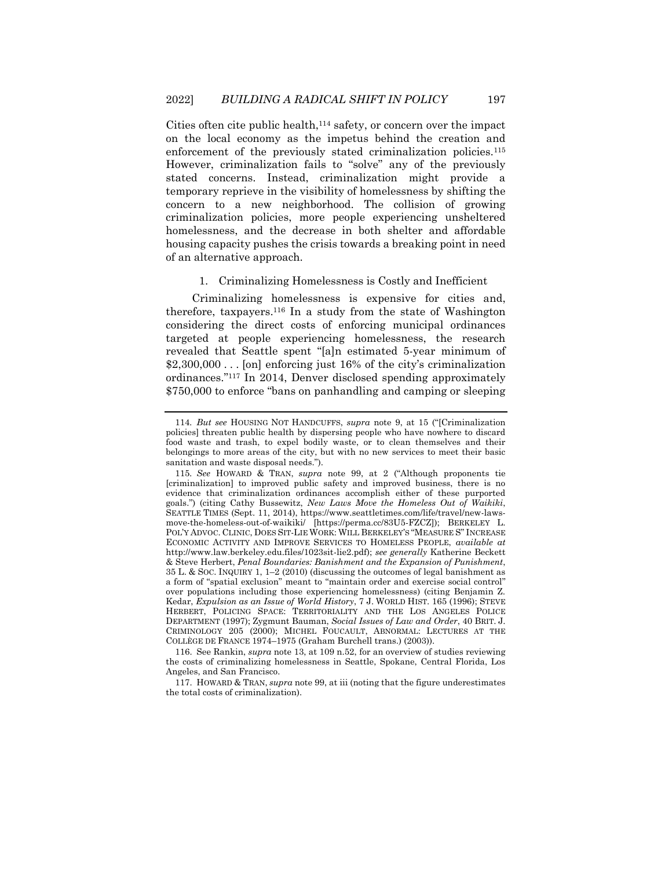Cities often cite public health,<sup>114</sup> safety, or concern over the impact on the local economy as the impetus behind the creation and enforcement of the previously stated criminalization policies.<sup>115</sup> However, criminalization fails to "solve" any of the previously stated concerns. Instead, criminalization might provide a temporary reprieve in the visibility of homelessness by shifting the concern to a new neighborhood. The collision of growing criminalization policies, more people experiencing unsheltered homelessness, and the decrease in both shelter and affordable housing capacity pushes the crisis towards a breaking point in need of an alternative approach.

#### 1. Criminalizing Homelessness is Costly and Inefficient

Criminalizing homelessness is expensive for cities and, therefore, taxpayers.<sup>116</sup> In a study from the state of Washington considering the direct costs of enforcing municipal ordinances targeted at people experiencing homelessness, the research revealed that Seattle spent "[a]n estimated 5-year minimum of \$2,300,000... [on] enforcing just 16% of the city's criminalization ordinances."<sup>117</sup> In 2014, Denver disclosed spending approximately \$750,000 to enforce "bans on panhandling and camping or sleeping

116. See Rankin, *supra* note [13,](#page-3-0) at 109 n.52, for an overview of studies reviewing the costs of criminalizing homelessness in Seattle, Spokane, Central Florida, Los Angeles, and San Francisco.

117. HOWARD & TRAN, *supra* note [99,](#page-19-0) at iii (noting that the figure underestimates the total costs of criminalization).

<sup>114</sup>*. But see* HOUSING NOT HANDCUFFS, *supra* note [9,](#page-2-0) at 15 ("[Criminalization policies] threaten public health by dispersing people who have nowhere to discard food waste and trash, to expel bodily waste, or to clean themselves and their belongings to more areas of the city, but with no new services to meet their basic sanitation and waste disposal needs.").

<sup>115</sup>*. See* HOWARD & TRAN, *supra* note [99,](#page-19-0) at 2 ("Although proponents tie [criminalization] to improved public safety and improved business, there is no evidence that criminalization ordinances accomplish either of these purported goals.") (citing Cathy Bussewitz, *New Laws Move the Homeless Out of Waikiki*, SEATTLE TIMES (Sept. 11, 2014), https://www.seattletimes.com/life/travel/new-lawsmove-the-homeless-out-of-waikiki/ [https://perma.cc/83U5-FZCZ]); BERKELEY L. POL'Y ADVOC. CLINIC, DOES SIT-LIE WORK: WILL BERKELEY'S "MEASURE S" INCREASE ECONOMIC ACTIVITY AND IMPROVE SERVICES TO HOMELESS PEOPLE, *available at* http://www.law.berkeley.edu.files/1023sit-lie2.pdf); *see generally* Katherine Beckett & Steve Herbert, *Penal Boundaries: Banishment and the Expansion of Punishment*, 35 L. & SOC. INQUIRY 1, 1–2 (2010) (discussing the outcomes of legal banishment as a form of "spatial exclusion" meant to "maintain order and exercise social control" over populations including those experiencing homelessness) (citing Benjamin Z. Kedar, *Expulsion as an Issue of World History*, 7 J. WORLD HIST. 165 (1996); STEVE HERBERT, POLICING SPACE: TERRITORIALITY AND THE LOS ANGELES POLICE DEPARTMENT (1997); Zygmunt Bauman, *Social Issues of Law and Order*, 40 BRIT. J. CRIMINOLOGY 205 (2000); MICHEL FOUCAULT, ABNORMAL: LECTURES AT THE COLLÈGE DE FRANCE 1974–1975 (Graham Burchell trans.) (2003)).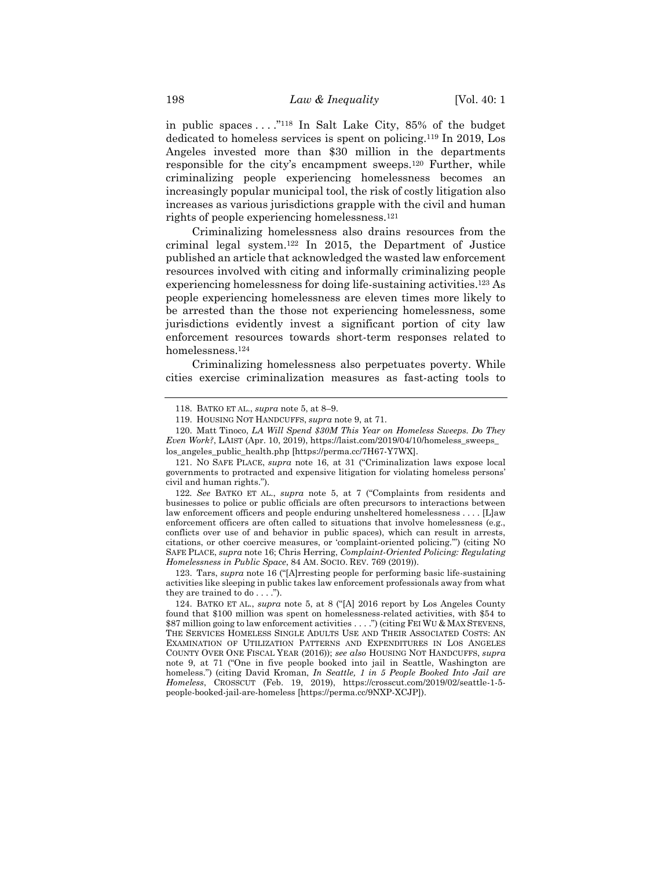in public spaces  $\dots$ ."<sup>118</sup> In Salt Lake City, 85% of the budget dedicated to homeless services is spent on policing.<sup>119</sup> In 2019, Los Angeles invested more than \$30 million in the departments responsible for the city's encampment sweeps.<sup>120</sup> Further, while criminalizing people experiencing homelessness becomes an increasingly popular municipal tool, the risk of costly litigation also increases as various jurisdictions grapple with the civil and human rights of people experiencing homelessness.<sup>121</sup>

Criminalizing homelessness also drains resources from the criminal legal system.<sup>122</sup> In 2015, the Department of Justice published an article that acknowledged the wasted law enforcement resources involved with citing and informally criminalizing people experiencing homelessness for doing life-sustaining activities.<sup>123</sup> As people experiencing homelessness are eleven times more likely to be arrested than the those not experiencing homelessness, some jurisdictions evidently invest a significant portion of city law enforcement resources towards short-term responses related to homelessness.<sup>124</sup>

Criminalizing homelessness also perpetuates poverty. While cities exercise criminalization measures as fast-acting tools to

122*. See* BATKO ET AL., *supra* note [5,](#page-2-1) at 7 ("Complaints from residents and businesses to police or public officials are often precursors to interactions between law enforcement officers and people enduring unsheltered homelessness . . . . [L]aw enforcement officers are often called to situations that involve homelessness (e.g., conflicts over use of and behavior in public spaces), which can result in arrests, citations, or other coercive measures, or 'complaint-oriented policing.'") (citing NO SAFE PLACE, *supra* note 16; Chris Herring, *Complaint-Oriented Policing: Regulating Homelessness in Public Space*, 84 AM. SOCIO. REV. 769 (2019)).

123. Tars, *supra* note [16](#page-3-1) ("[A]rresting people for performing basic life-sustaining activities like sleeping in public takes law enforcement professionals away from what they are trained to do . . . .").

<sup>118.</sup> BATKO ET AL., *supra* note [5,](#page-2-1) at 8–9.

<sup>119.</sup> HOUSING NOT HANDCUFFS, *supra* note [9,](#page-2-0) at 71.

<sup>120.</sup> Matt Tinoco, *LA Will Spend \$30M This Year on Homeless Sweeps. Do They Even Work?*, LAIST (Apr. 10, 2019), https://laist.com/2019/04/10/homeless\_sweeps\_ los\_angeles\_public\_health.php [https://perma.cc/7H67-Y7WX].

<sup>121.</sup> NO SAFE PLACE, *supra* note [16,](#page-3-1) at 31 ("Criminalization laws expose local governments to protracted and expensive litigation for violating homeless persons' civil and human rights.").

<sup>124.</sup> BATKO ET AL., *supra* note [5,](#page-2-1) at 8 ("[A] 2016 report by Los Angeles County found that \$100 million was spent on homelessness-related activities, with \$54 to \$87 million going to law enforcement activities . . . .") (citing FEI WU & MAX STEVENS, THE SERVICES HOMELESS SINGLE ADULTS USE AND THEIR ASSOCIATED COSTS: AN EXAMINATION OF UTILIZATION PATTERNS AND EXPENDITURES IN LOS ANGELES COUNTY OVER ONE FISCAL YEAR (2016)); *see also* HOUSING NOT HANDCUFFS, *supra* note [9,](#page-2-0) at 71 ("One in five people booked into jail in Seattle, Washington are homeless.") (citing David Kroman, *In Seattle, 1 in 5 People Booked Into Jail are Homeless*, CROSSCUT (Feb. 19, 2019), https://crosscut.com/2019/02/seattle-1-5 people-booked-jail-are-homeless [https://perma.cc/9NXP-XCJP]).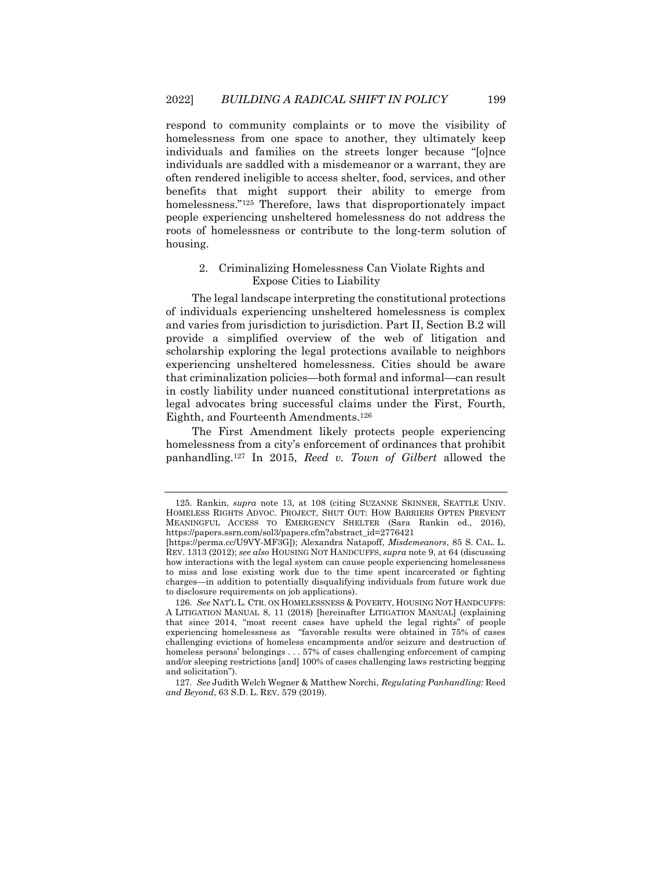respond to community complaints or to move the visibility of homelessness from one space to another, they ultimately keep individuals and families on the streets longer because "[o]nce individuals are saddled with a misdemeanor or a warrant, they are often rendered ineligible to access shelter, food, services, and other benefits that might support their ability to emerge from homelessness."<sup>125</sup> Therefore, laws that disproportionately impact people experiencing unsheltered homelessness do not address the roots of homelessness or contribute to the long-term solution of housing.

# 2. Criminalizing Homelessness Can Violate Rights and Expose Cities to Liability

The legal landscape interpreting the constitutional protections of individuals experiencing unsheltered homelessness is complex and varies from jurisdiction to jurisdiction. Part II, Section B.2 will provide a simplified overview of the web of litigation and scholarship exploring the legal protections available to neighbors experiencing unsheltered homelessness. Cities should be aware that criminalization policies—both formal and informal—can result in costly liability under nuanced constitutional interpretations as legal advocates bring successful claims under the First, Fourth, Eighth, and Fourteenth Amendments.<sup>126</sup>

<span id="page-23-0"></span>The First Amendment likely protects people experiencing homelessness from a city's enforcement of ordinances that prohibit panhandling.<sup>127</sup> In 2015, *Reed v. Town of Gilbert* allowed the

<sup>125.</sup> Rankin, *supra* note [13,](#page-3-0) at 108 (citing SUZANNE SKINNER, SEATTLE UNIV. HOMELESS RIGHTS ADVOC. PROJECT, SHUT OUT: HOW BARRIERS OFTEN PREVENT MEANINGFUL ACCESS TO EMERGENCY SHELTER (Sara Rankin ed., 2016), https://papers.ssrn.com/sol3/papers.cfm?abstract\_id=2776421

<sup>[</sup>https://perma.cc/U9VY-MF3G]); Alexandra Natapoff, *Misdemeanors*, 85 S. CAL. L. REV. 1313 (2012); *see also* HOUSING NOT HANDCUFFS, *supra* not[e 9,](#page-2-0) at 64 (discussing how interactions with the legal system can cause people experiencing homelessness to miss and lose existing work due to the time spent incarcerated or fighting charges—in addition to potentially disqualifying individuals from future work due to disclosure requirements on job applications).

<sup>126</sup>*. See* NAT'L L. CTR. ON HOMELESSNESS & POVERTY, HOUSING NOT HANDCUFFS: A LITIGATION MANUAL 8, 11 (2018) [hereinafter LITIGATION MANUAL] (explaining that since 2014, "most recent cases have upheld the legal rights" of people experiencing homelessness as "favorable results were obtained in 75% of cases challenging evictions of homeless encampments and/or seizure and destruction of homeless persons' belongings . . . 57% of cases challenging enforcement of camping and/or sleeping restrictions [and] 100% of cases challenging laws restricting begging and solicitation").

<sup>127</sup>*. See* Judith Welch Wegner & Matthew Norchi, *Regulating Panhandling:* Reed *and Beyond*, 63 S.D. L. REV. 579 (2019).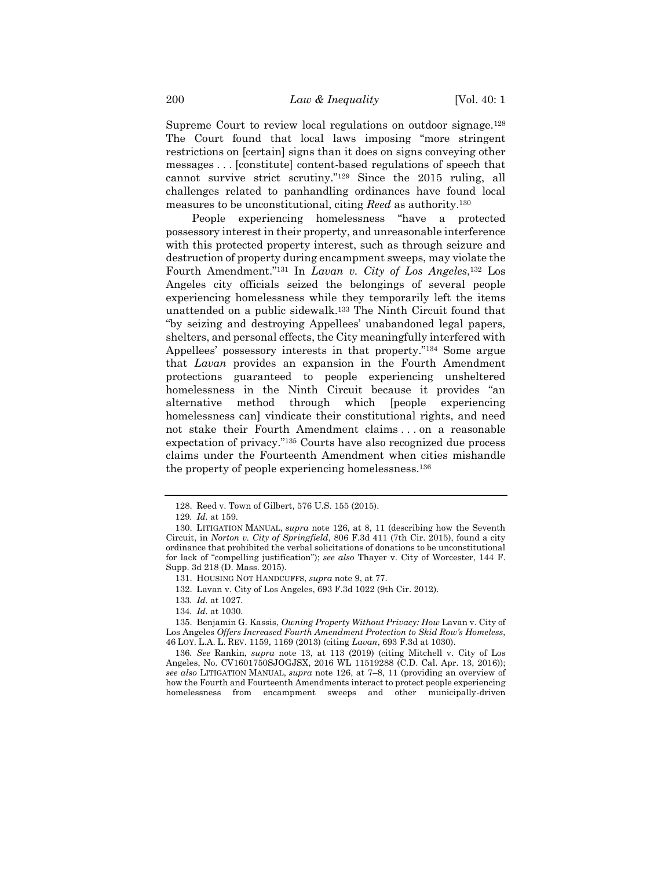Supreme Court to review local regulations on outdoor signage.<sup>128</sup> The Court found that local laws imposing "more stringent restrictions on [certain] signs than it does on signs conveying other messages . . . [constitute] content-based regulations of speech that cannot survive strict scrutiny."<sup>129</sup> Since the 2015 ruling, all challenges related to panhandling ordinances have found local measures to be unconstitutional, citing *Reed* as authority. 130

People experiencing homelessness "have a protected possessory interest in their property, and unreasonable interference with this protected property interest, such as through seizure and destruction of property during encampment sweeps, may violate the Fourth Amendment."<sup>131</sup> In *Lavan v. City of Los Angeles*, <sup>132</sup> Los Angeles city officials seized the belongings of several people experiencing homelessness while they temporarily left the items unattended on a public sidewalk.<sup>133</sup> The Ninth Circuit found that "by seizing and destroying Appellees' unabandoned legal papers, shelters, and personal effects, the City meaningfully interfered with Appellees' possessory interests in that property."<sup>134</sup> Some argue that *Lavan* provides an expansion in the Fourth Amendment protections guaranteed to people experiencing unsheltered homelessness in the Ninth Circuit because it provides "an alternative method through which [people experiencing homelessness can] vindicate their constitutional rights, and need not stake their Fourth Amendment claims . . . on a reasonable expectation of privacy."<sup>135</sup> Courts have also recognized due process claims under the Fourteenth Amendment when cities mishandle the property of people experiencing homelessness.<sup>136</sup>

<sup>128.</sup> Reed v. Town of Gilbert, 576 U.S. 155 (2015).

<sup>129</sup>*. Id.* at 159.

<sup>130.</sup> LITIGATION MANUAL, *supra* note [126,](#page-23-0) at 8, 11 (describing how the Seventh Circuit, in *Norton v. City of Springfield*, 806 F.3d 411 (7th Cir. 2015), found a city ordinance that prohibited the verbal solicitations of donations to be unconstitutional for lack of "compelling justification"); *see also* Thayer v. City of Worcester, 144 F. Supp. 3d 218 (D. Mass. 2015).

<sup>131.</sup> HOUSING NOT HANDCUFFS, *supra* not[e 9,](#page-2-0) at 77.

<sup>132.</sup> Lavan v. City of Los Angeles, 693 F.3d 1022 (9th Cir. 2012).

<sup>133</sup>*. Id.* at 1027.

<sup>134</sup>*. Id.* at 1030.

<sup>135.</sup> Benjamin G. Kassis, *Owning Property Without Privacy: How* Lavan v. City of Los Angeles *Offers Increased Fourth Amendment Protection to Skid Row's Homeless*, 46 LOY. L.A. L. REV. 1159, 1169 (2013) (citing *Lavan*, 693 F.3d at 1030).

<sup>136</sup>*. See* Rankin, *supra* note [13,](#page-3-0) at 113 (2019) (citing Mitchell v. City of Los Angeles, No. CV1601750SJOGJSX, 2016 WL 11519288 (C.D. Cal. Apr. 13, 2016)); *see also* LITIGATION MANUAL, *supra* note [126,](#page-23-0) at 7–8, 11 (providing an overview of how the Fourth and Fourteenth Amendments interact to protect people experiencing homelessness from encampment sweeps and other municipally-driven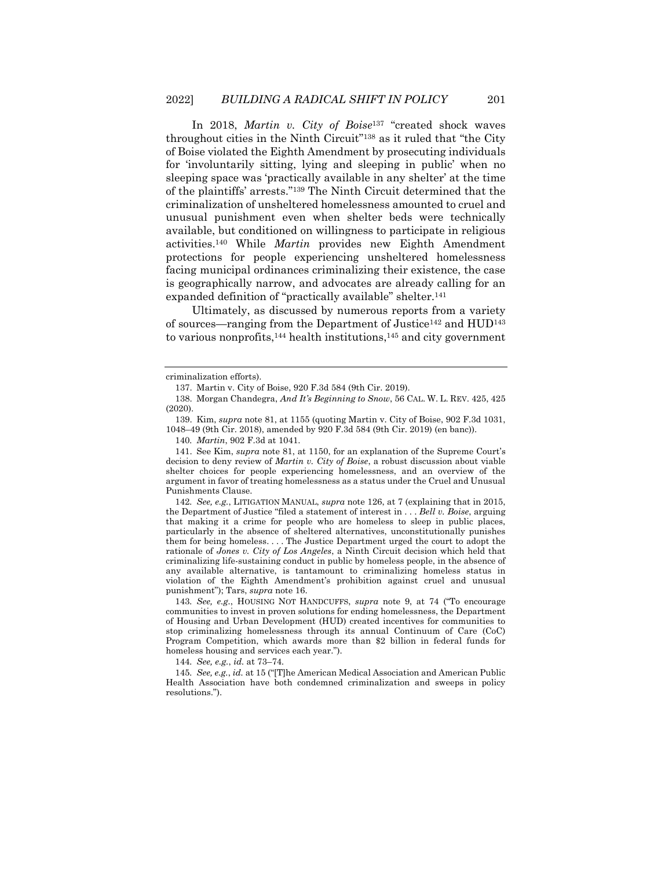In 2018, *Martin v. City of Boise* <sup>137</sup> "created shock waves throughout cities in the Ninth Circuit"<sup>138</sup> as it ruled that "the City of Boise violated the Eighth Amendment by prosecuting individuals for 'involuntarily sitting, lying and sleeping in public' when no sleeping space was 'practically available in any shelter' at the time of the plaintiffs' arrests."<sup>139</sup> The Ninth Circuit determined that the criminalization of unsheltered homelessness amounted to cruel and unusual punishment even when shelter beds were technically available, but conditioned on willingness to participate in religious activities.<sup>140</sup> While *Martin* provides new Eighth Amendment protections for people experiencing unsheltered homelessness facing municipal ordinances criminalizing their existence, the case is geographically narrow, and advocates are already calling for an expanded definition of "practically available" shelter.<sup>141</sup>

Ultimately, as discussed by numerous reports from a variety of sources—ranging from the Department of Justice<sup>142</sup> and HUD<sup>143</sup> to various nonprofits, $144$  health institutions, $145$  and city government

141. See Kim, *supra* not[e 81,](#page-15-1) at 1150, for an explanation of the Supreme Court's decision to deny review of *Martin v. City of Boise*, a robust discussion about viable shelter choices for people experiencing homelessness, and an overview of the argument in favor of treating homelessness as a status under the Cruel and Unusual Punishments Clause.

142*. See, e.g.*, LITIGATION MANUAL, *supra* note [126,](#page-23-0) at 7 (explaining that in 2015, the Department of Justice "filed a statement of interest in . . . *Bell v. Boise*, arguing that making it a crime for people who are homeless to sleep in public places, particularly in the absence of sheltered alternatives, unconstitutionally punishes them for being homeless. . . . The Justice Department urged the court to adopt the rationale of *Jones v. City of Los Angeles*, a Ninth Circuit decision which held that criminalizing life-sustaining conduct in public by homeless people, in the absence of any available alternative, is tantamount to criminalizing homeless status in violation of the Eighth Amendment's prohibition against cruel and unusual punishment"); Tars, *supra* note [16.](#page-3-1)

143*. See, e.g.*, HOUSING NOT HANDCUFFS, *supra* note [9,](#page-2-0) at 74 ("To encourage communities to invest in proven solutions for ending homelessness, the Department of Housing and Urban Development (HUD) created incentives for communities to stop criminalizing homelessness through its annual Continuum of Care (CoC) Program Competition, which awards more than \$2 billion in federal funds for homeless housing and services each year.").

144*. See, e.g.*, *id.* at 73–74*.*

145*. See, e.g.*, *id.* at 15 ("[T]he American Medical Association and American Public Health Association have both condemned criminalization and sweeps in policy resolutions.").

criminalization efforts).

<sup>137.</sup> Martin v. City of Boise, 920 F.3d 584 (9th Cir. 2019).

<sup>138.</sup> Morgan Chandegra, *And It's Beginning to Snow*, 56 CAL. W. L. REV. 425, 425 (2020).

<sup>139.</sup> Kim, *supra* not[e 81,](#page-15-1) at 1155 (quoting Martin v. City of Boise, 902 F.3d 1031, 1048–49 (9th Cir. 2018), amended by 920 F.3d 584 (9th Cir. 2019) (en banc)).

<sup>140</sup>*. Martin*, 902 F.3d at 1041.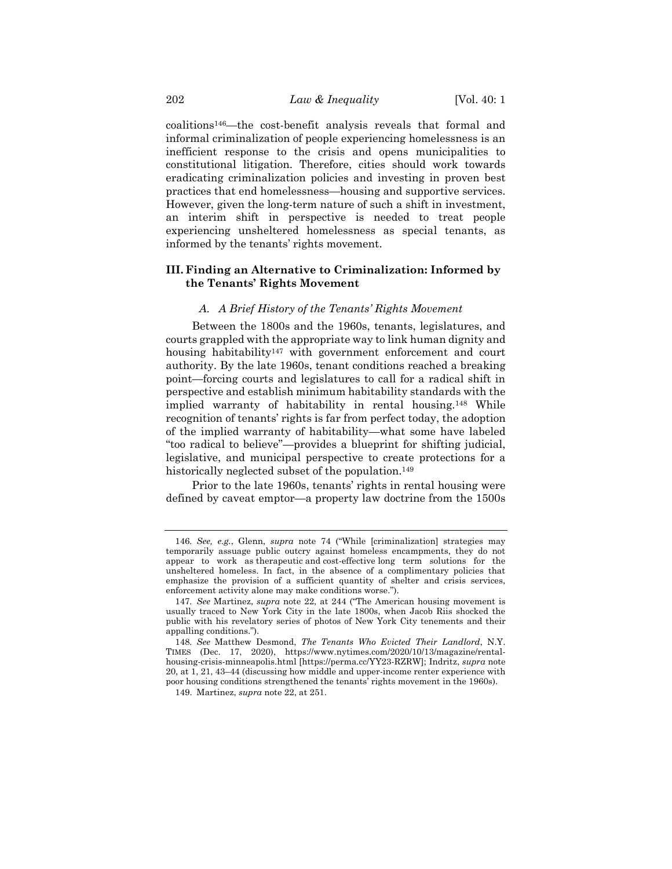coalitions146—the cost-benefit analysis reveals that formal and informal criminalization of people experiencing homelessness is an inefficient response to the crisis and opens municipalities to constitutional litigation. Therefore, cities should work towards eradicating criminalization policies and investing in proven best practices that end homelessness—housing and supportive services. However, given the long-term nature of such a shift in investment, an interim shift in perspective is needed to treat people experiencing unsheltered homelessness as special tenants, as informed by the tenants' rights movement.

# <span id="page-26-0"></span>**III. Finding an Alternative to Criminalization: Informed by the Tenants' Rights Movement**

# *A. A Brief History of the Tenants' Rights Movement*

Between the 1800s and the 1960s, tenants, legislatures, and courts grappled with the appropriate way to link human dignity and housing habitability<sup>147</sup> with government enforcement and court authority. By the late 1960s, tenant conditions reached a breaking point—forcing courts and legislatures to call for a radical shift in perspective and establish minimum habitability standards with the implied warranty of habitability in rental housing.<sup>148</sup> While recognition of tenants' rights is far from perfect today, the adoption of the implied warranty of habitability—what some have labeled "too radical to believe"—provides a blueprint for shifting judicial, legislative, and municipal perspective to create protections for a historically neglected subset of the population.<sup>149</sup>

Prior to the late 1960s, tenants' rights in rental housing were defined by caveat emptor—a property law doctrine from the 1500s

<sup>146</sup>*. See, e.g.*, Glenn, *supra* note [74](#page-13-2) ("While [criminalization] strategies may temporarily assuage public outcry against homeless encampments, they do not appear to work as therapeutic and cost-effective long term solutions for the unsheltered homeless. In fact, in the absence of a complimentary policies that emphasize the provision of a sufficient quantity of shelter and crisis services, enforcement activity alone may make conditions worse.").

<sup>147</sup>*. See* Martinez, *supra* note [22,](#page-5-0) at 244 ("The American housing movement is usually traced to New York City in the late 1800s, when Jacob Riis shocked the public with his revelatory series of photos of New York City tenements and their appalling conditions.").

<sup>148</sup>*. See* Matthew Desmond, *The Tenants Who Evicted Their Landlord*, N.Y. TIMES (Dec. 17, 2020), https://www.nytimes.com/2020/10/13/magazine/rentalhousing-crisis-minneapolis.html [https://perma.cc/YY23-RZRW]; Indritz, *supra* note [20,](#page-4-0) at 1, 21, 43–44 (discussing how middle and upper-income renter experience with poor housing conditions strengthened the tenants' rights movement in the 1960s).

<sup>149.</sup> Martinez, *supra* note [22,](#page-5-0) at 251.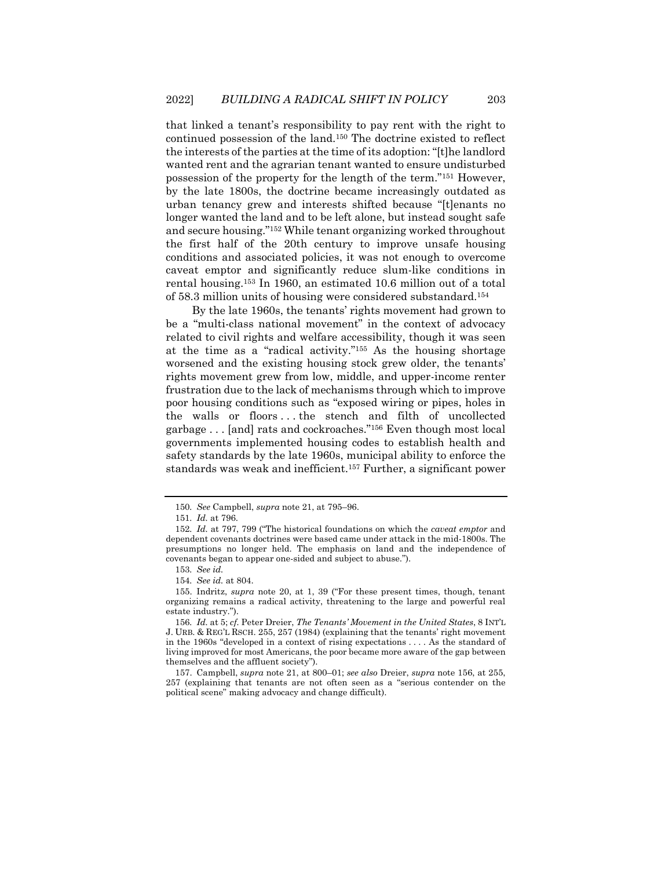that linked a tenant's responsibility to pay rent with the right to continued possession of the land.<sup>150</sup> The doctrine existed to reflect the interests of the parties at the time of its adoption: "[t]he landlord wanted rent and the agrarian tenant wanted to ensure undisturbed possession of the property for the length of the term."<sup>151</sup> However, by the late 1800s, the doctrine became increasingly outdated as urban tenancy grew and interests shifted because "[t]enants no longer wanted the land and to be left alone, but instead sought safe and secure housing."<sup>152</sup> While tenant organizing worked throughout the first half of the 20th century to improve unsafe housing conditions and associated policies, it was not enough to overcome caveat emptor and significantly reduce slum-like conditions in rental housing.<sup>153</sup> In 1960, an estimated 10.6 million out of a total of 58.3 million units of housing were considered substandard.<sup>154</sup>

By the late 1960s, the tenants' rights movement had grown to be a "multi-class national movement" in the context of advocacy related to civil rights and welfare accessibility, though it was seen at the time as a "radical activity."<sup>155</sup> As the housing shortage worsened and the existing housing stock grew older, the tenants' rights movement grew from low, middle, and upper-income renter frustration due to the lack of mechanisms through which to improve poor housing conditions such as "exposed wiring or pipes, holes in the walls or floors . . . the stench and filth of uncollected garbage . . . [and] rats and cockroaches."<sup>156</sup> Even though most local governments implemented housing codes to establish health and safety standards by the late 1960s, municipal ability to enforce the standards was weak and inefficient.<sup>157</sup> Further, a significant power

<span id="page-27-0"></span><sup>150</sup>*. See* Campbell, *supra* not[e 21,](#page-4-1) at 795–96.

<sup>151</sup>*. Id.* at 796.

<sup>152</sup>*. Id.* at 797, 799 ("The historical foundations on which the *caveat emptor* and dependent covenants doctrines were based came under attack in the mid-1800s. The presumptions no longer held. The emphasis on land and the independence of covenants began to appear one-sided and subject to abuse.").

<sup>153</sup>*. See id.*

<sup>154</sup>*. See id.* at 804.

<sup>155.</sup> Indritz, *supra* note [20,](#page-4-0) at 1, 39 ("For these present times, though, tenant organizing remains a radical activity, threatening to the large and powerful real estate industry.").

<sup>156</sup>*. Id.* at 5; *cf.* Peter Dreier, *The Tenants' Movement in the United States*, 8 INT'L J. URB. & REG'L RSCH. 255, 257 (1984) (explaining that the tenants' right movement in the 1960s "developed in a context of rising expectations . . . . As the standard of living improved for most Americans, the poor became more aware of the gap between themselves and the affluent society").

<sup>157.</sup> Campbell, *supra* note [21,](#page-4-1) at 800–01; *see also* Dreier, *supra* note [156,](#page-27-0) at 255, 257 (explaining that tenants are not often seen as a "serious contender on the political scene" making advocacy and change difficult).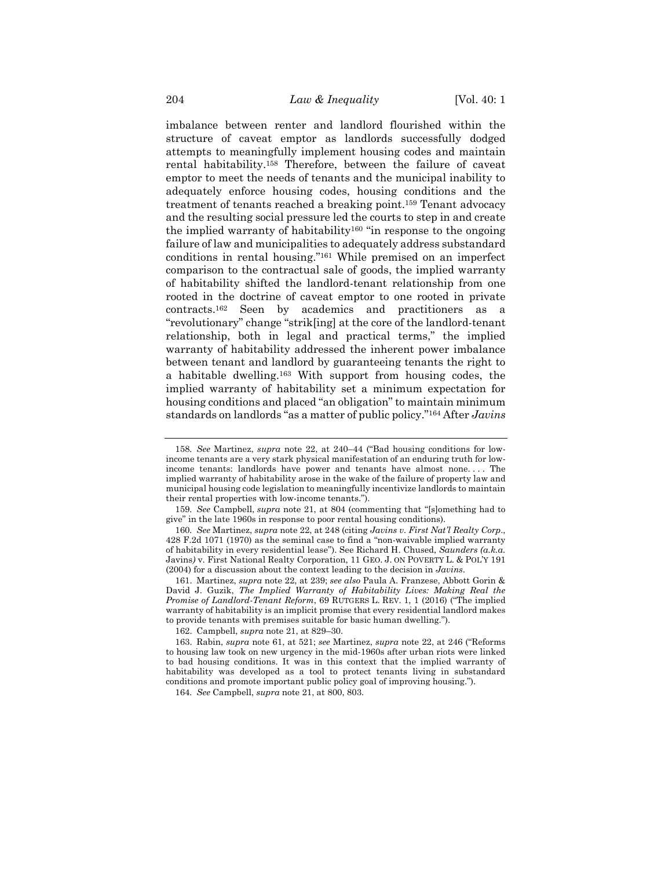imbalance between renter and landlord flourished within the structure of caveat emptor as landlords successfully dodged attempts to meaningfully implement housing codes and maintain rental habitability.<sup>158</sup> Therefore, between the failure of caveat emptor to meet the needs of tenants and the municipal inability to adequately enforce housing codes, housing conditions and the treatment of tenants reached a breaking point.<sup>159</sup> Tenant advocacy and the resulting social pressure led the courts to step in and create the implied warranty of habitability<sup>160</sup> "in response to the ongoing failure of law and municipalities to adequately address substandard conditions in rental housing."<sup>161</sup> While premised on an imperfect comparison to the contractual sale of goods, the implied warranty of habitability shifted the landlord-tenant relationship from one rooted in the doctrine of caveat emptor to one rooted in private contracts.<sup>162</sup> Seen by academics and practitioners as a "revolutionary" change "strik[ing] at the core of the landlord-tenant relationship, both in legal and practical terms," the implied warranty of habitability addressed the inherent power imbalance between tenant and landlord by guaranteeing tenants the right to a habitable dwelling.<sup>163</sup> With support from housing codes, the implied warranty of habitability set a minimum expectation for housing conditions and placed "an obligation" to maintain minimum standards on landlords "as a matter of public policy."<sup>164</sup> After *Javins* 

<sup>158</sup>*. See* Martinez, *supra* note [22,](#page-5-0) at 240–44 ("Bad housing conditions for lowincome tenants are a very stark physical manifestation of an enduring truth for lowincome tenants: landlords have power and tenants have almost none. . . . The implied warranty of habitability arose in the wake of the failure of property law and municipal housing code legislation to meaningfully incentivize landlords to maintain their rental properties with low-income tenants.").

<sup>159</sup>*. See* Campbell, *supra* note [21,](#page-4-1) at 804 (commenting that "[s]omething had to give" in the late 1960s in response to poor rental housing conditions).

<sup>160</sup>*. See* Martinez, *supra* not[e 22,](#page-5-0) at 248 (citing *Javins v. First Nat'l Realty Corp*., 428 F.2d 1071 (1970) as the seminal case to find a "non-waivable implied warranty of habitability in every residential lease"). See Richard H. Chused, *Saunders (a.k.a.*  Javins*)* v. First National Realty Corporation, 11 GEO. J. ON POVERTY L. & POL'Y 191 (2004) for a discussion about the context leading to the decision in *Javins*.

<sup>161.</sup> Martinez, *supra* not[e 22,](#page-5-0) at 239; *see also* Paula A. Franzese, Abbott Gorin & David J. Guzik, *The Implied Warranty of Habitability Lives: Making Real the Promise of Landlord-Tenant Reform*, 69 RUTGERS L. REV. 1, 1 (2016) ("The implied warranty of habitability is an implicit promise that every residential landlord makes to provide tenants with premises suitable for basic human dwelling.").

<sup>162.</sup> Campbell, *supra* not[e 21,](#page-4-1) at 829–30.

<sup>163.</sup> Rabin, *supra* note [61,](#page-11-1) at 521; *see* Martinez, *supra* note [22,](#page-5-0) at 246 ("Reforms to housing law took on new urgency in the mid-1960s after urban riots were linked to bad housing conditions. It was in this context that the implied warranty of habitability was developed as a tool to protect tenants living in substandard conditions and promote important public policy goal of improving housing.").

<sup>164</sup>*. See* Campbell, *supra* not[e 21,](#page-4-1) at 800, 803.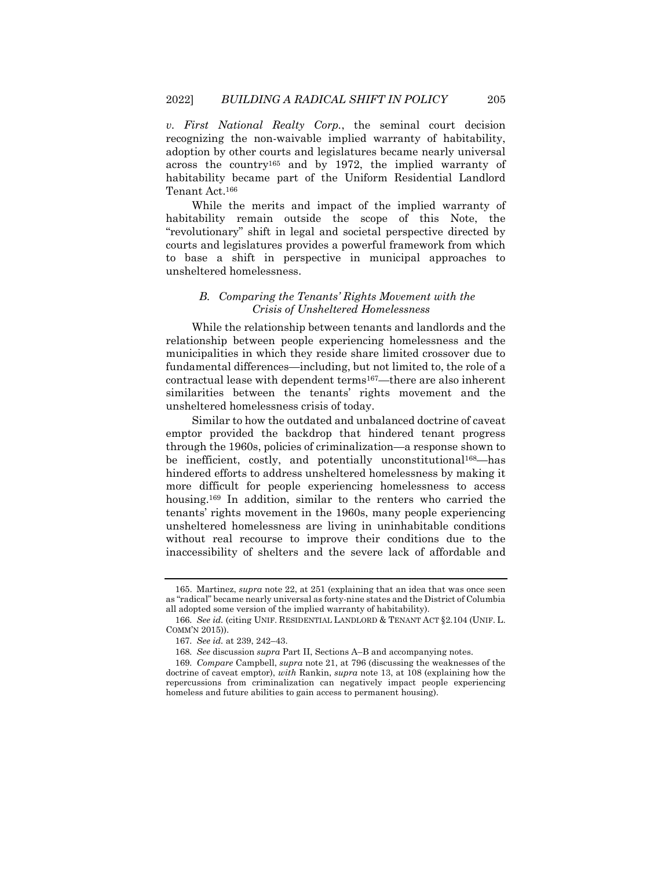*v. First National Realty Corp.*, the seminal court decision recognizing the non-waivable implied warranty of habitability, adoption by other courts and legislatures became nearly universal across the country<sup>165</sup> and by 1972, the implied warranty of habitability became part of the Uniform Residential Landlord Tenant Act.<sup>166</sup>

While the merits and impact of the implied warranty of habitability remain outside the scope of this Note, the "revolutionary" shift in legal and societal perspective directed by courts and legislatures provides a powerful framework from which to base a shift in perspective in municipal approaches to unsheltered homelessness.

# *B. Comparing the Tenants' Rights Movement with the Crisis of Unsheltered Homelessness*

While the relationship between tenants and landlords and the relationship between people experiencing homelessness and the municipalities in which they reside share limited crossover due to fundamental differences—including, but not limited to, the role of a contractual lease with dependent terms167—there are also inherent similarities between the tenants' rights movement and the unsheltered homelessness crisis of today.

Similar to how the outdated and unbalanced doctrine of caveat emptor provided the backdrop that hindered tenant progress through the 1960s, policies of criminalization—a response shown to be inefficient, costly, and potentially unconstitutional<sup>168</sup>—has hindered efforts to address unsheltered homelessness by making it more difficult for people experiencing homelessness to access housing.<sup>169</sup> In addition, similar to the renters who carried the tenants' rights movement in the 1960s, many people experiencing unsheltered homelessness are living in uninhabitable conditions without real recourse to improve their conditions due to the inaccessibility of shelters and the severe lack of affordable and

<sup>165.</sup> Martinez, *supra* not[e 22,](#page-5-0) at 251 (explaining that an idea that was once seen as "radical" became nearly universal as forty-nine states and the District of Columbia all adopted some version of the implied warranty of habitability).

<sup>166</sup>*. See id.* (citing UNIF. RESIDENTIAL LANDLORD & TENANT ACT §2.104 (UNIF. L. COMM'N 2015)).

<sup>167</sup>*. See id.* at 239, 242–43.

<sup>168</sup>*. See* discussion *supra* Part II, Sections A–B and accompanying notes.

<sup>169</sup>*. Compare* Campbell, *supra* not[e 21,](#page-4-1) at 796 (discussing the weaknesses of the doctrine of caveat emptor), *with* Rankin, *supra* note [13,](#page-3-0) at 108 (explaining how the repercussions from criminalization can negatively impact people experiencing homeless and future abilities to gain access to permanent housing).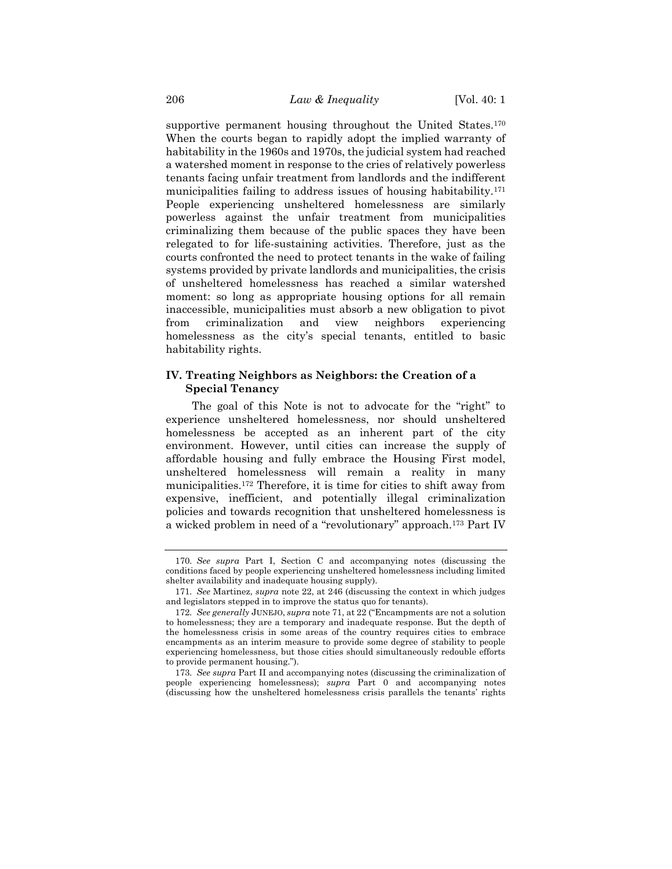supportive permanent housing throughout the United States.<sup>170</sup> When the courts began to rapidly adopt the implied warranty of habitability in the 1960s and 1970s, the judicial system had reached a watershed moment in response to the cries of relatively powerless tenants facing unfair treatment from landlords and the indifferent municipalities failing to address issues of housing habitability.<sup>171</sup> People experiencing unsheltered homelessness are similarly powerless against the unfair treatment from municipalities criminalizing them because of the public spaces they have been relegated to for life-sustaining activities. Therefore, just as the courts confronted the need to protect tenants in the wake of failing systems provided by private landlords and municipalities, the crisis of unsheltered homelessness has reached a similar watershed moment: so long as appropriate housing options for all remain inaccessible, municipalities must absorb a new obligation to pivot from criminalization and view neighbors experiencing homelessness as the city's special tenants, entitled to basic habitability rights.

# **IV. Treating Neighbors as Neighbors: the Creation of a Special Tenancy**

The goal of this Note is not to advocate for the "right" to experience unsheltered homelessness, nor should unsheltered homelessness be accepted as an inherent part of the city environment. However, until cities can increase the supply of affordable housing and fully embrace the Housing First model, unsheltered homelessness will remain a reality in many municipalities.<sup>172</sup> Therefore, it is time for cities to shift away from expensive, inefficient, and potentially illegal criminalization policies and towards recognition that unsheltered homelessness is a wicked problem in need of a "revolutionary" approach.<sup>173</sup> Part IV

<sup>170</sup>*. See supra* Part I, Section C and accompanying notes (discussing the conditions faced by people experiencing unsheltered homelessness including limited shelter availability and inadequate housing supply).

<sup>171</sup>*. See* Martinez, *supra* note [22,](#page-5-0) at 246 (discussing the context in which judges and legislators stepped in to improve the status quo for tenants).

<sup>172</sup>*. See generally* JUNEJO, *supra* not[e 71,](#page-13-0) at 22 ("Encampments are not a solution to homelessness; they are a temporary and inadequate response. But the depth of the homelessness crisis in some areas of the country requires cities to embrace encampments as an interim measure to provide some degree of stability to people experiencing homelessness, but those cities should simultaneously redouble efforts to provide permanent housing.").

<sup>173</sup>*. See supra* Part II and accompanying notes (discussing the criminalization of people experiencing homelessness); *supra* Part [0](#page-26-0) and accompanying notes (discussing how the unsheltered homelessness crisis parallels the tenants' rights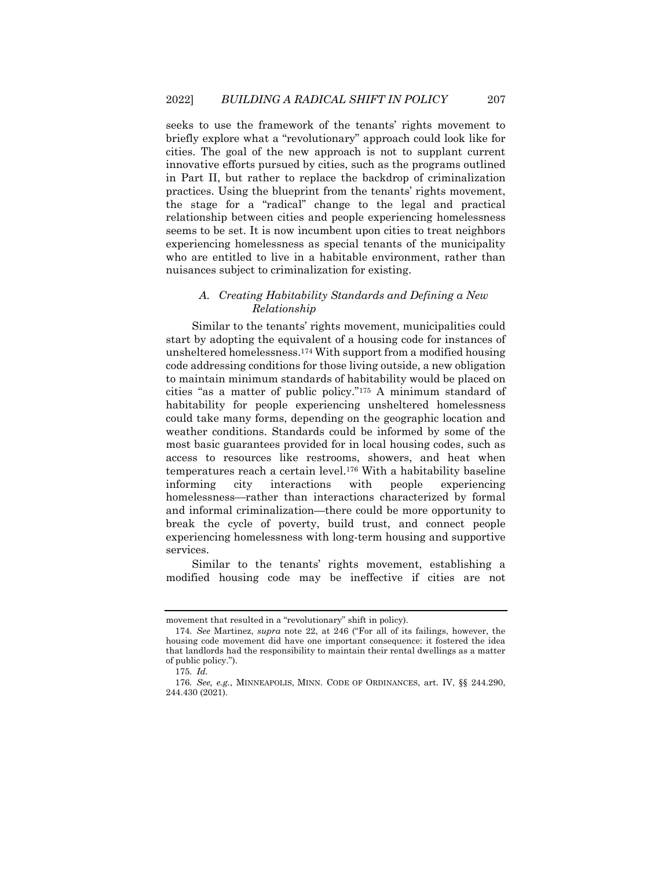seeks to use the framework of the tenants' rights movement to briefly explore what a "revolutionary" approach could look like for cities. The goal of the new approach is not to supplant current innovative efforts pursued by cities, such as the programs outlined in Part II, but rather to replace the backdrop of criminalization practices. Using the blueprint from the tenants' rights movement, the stage for a "radical" change to the legal and practical relationship between cities and people experiencing homelessness seems to be set. It is now incumbent upon cities to treat neighbors experiencing homelessness as special tenants of the municipality who are entitled to live in a habitable environment, rather than nuisances subject to criminalization for existing.

# *A. Creating Habitability Standards and Defining a New Relationship*

Similar to the tenants' rights movement, municipalities could start by adopting the equivalent of a housing code for instances of unsheltered homelessness.<sup>174</sup> With support from a modified housing code addressing conditions for those living outside, a new obligation to maintain minimum standards of habitability would be placed on cities "as a matter of public policy."<sup>175</sup> A minimum standard of habitability for people experiencing unsheltered homelessness could take many forms, depending on the geographic location and weather conditions. Standards could be informed by some of the most basic guarantees provided for in local housing codes, such as access to resources like restrooms, showers, and heat when temperatures reach a certain level.<sup>176</sup> With a habitability baseline informing city interactions with people experiencing homelessness—rather than interactions characterized by formal and informal criminalization—there could be more opportunity to break the cycle of poverty, build trust, and connect people experiencing homelessness with long-term housing and supportive services.

Similar to the tenants' rights movement, establishing a modified housing code may be ineffective if cities are not

movement that resulted in a "revolutionary" shift in policy).

<sup>174</sup>*. See* Martinez, *supra* note [22,](#page-5-0) at 246 ("For all of its failings, however, the housing code movement did have one important consequence: it fostered the idea that landlords had the responsibility to maintain their rental dwellings as a matter of public policy.").

<sup>175</sup>*. Id.*

<sup>176</sup>*. See, e.g.*, MINNEAPOLIS, MINN. CODE OF ORDINANCES, art. IV, §§ 244.290, 244.430 (2021).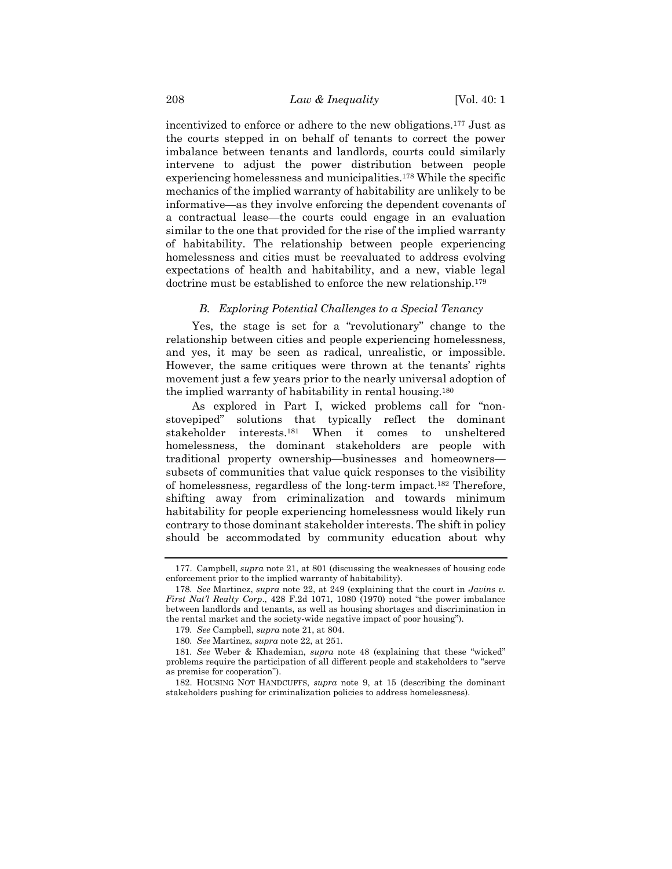incentivized to enforce or adhere to the new obligations.<sup>177</sup> Just as the courts stepped in on behalf of tenants to correct the power imbalance between tenants and landlords, courts could similarly intervene to adjust the power distribution between people experiencing homelessness and municipalities.<sup>178</sup> While the specific mechanics of the implied warranty of habitability are unlikely to be informative—as they involve enforcing the dependent covenants of a contractual lease—the courts could engage in an evaluation similar to the one that provided for the rise of the implied warranty of habitability. The relationship between people experiencing homelessness and cities must be reevaluated to address evolving expectations of health and habitability, and a new, viable legal doctrine must be established to enforce the new relationship.<sup>179</sup>

## *B. Exploring Potential Challenges to a Special Tenancy*

Yes, the stage is set for a "revolutionary" change to the relationship between cities and people experiencing homelessness, and yes, it may be seen as radical, unrealistic, or impossible. However, the same critiques were thrown at the tenants' rights movement just a few years prior to the nearly universal adoption of the implied warranty of habitability in rental housing.<sup>180</sup>

As explored in Part I, wicked problems call for "nonstovepiped" solutions that typically reflect the dominant stakeholder interests.<sup>181</sup> When it comes to unsheltered homelessness, the dominant stakeholders are people with traditional property ownership—businesses and homeowners subsets of communities that value quick responses to the visibility of homelessness, regardless of the long-term impact.<sup>182</sup> Therefore, shifting away from criminalization and towards minimum habitability for people experiencing homelessness would likely run contrary to those dominant stakeholder interests. The shift in policy should be accommodated by community education about why

<sup>177.</sup> Campbell, *supra* note [21,](#page-4-1) at 801 (discussing the weaknesses of housing code enforcement prior to the implied warranty of habitability).

<sup>178</sup>*. See* Martinez, *supra* note [22,](#page-5-0) at 249 (explaining that the court in *Javins v. First Nat'l Realty Corp*., 428 F.2d 1071, 1080 (1970) noted "the power imbalance between landlords and tenants, as well as housing shortages and discrimination in the rental market and the society-wide negative impact of poor housing").

<sup>179</sup>*. See* Campbell, *supra* not[e 21,](#page-4-1) at 804.

<sup>180</sup>*. See* Martinez, *supra* note [22,](#page-5-0) at 251.

<sup>181</sup>*. See* Weber & Khademian, *supra* note [48](#page-9-0) (explaining that these "wicked" problems require the participation of all different people and stakeholders to "serve as premise for cooperation").

<sup>182.</sup> HOUSING NOT HANDCUFFS, *supra* note [9,](#page-2-0) at 15 (describing the dominant stakeholders pushing for criminalization policies to address homelessness).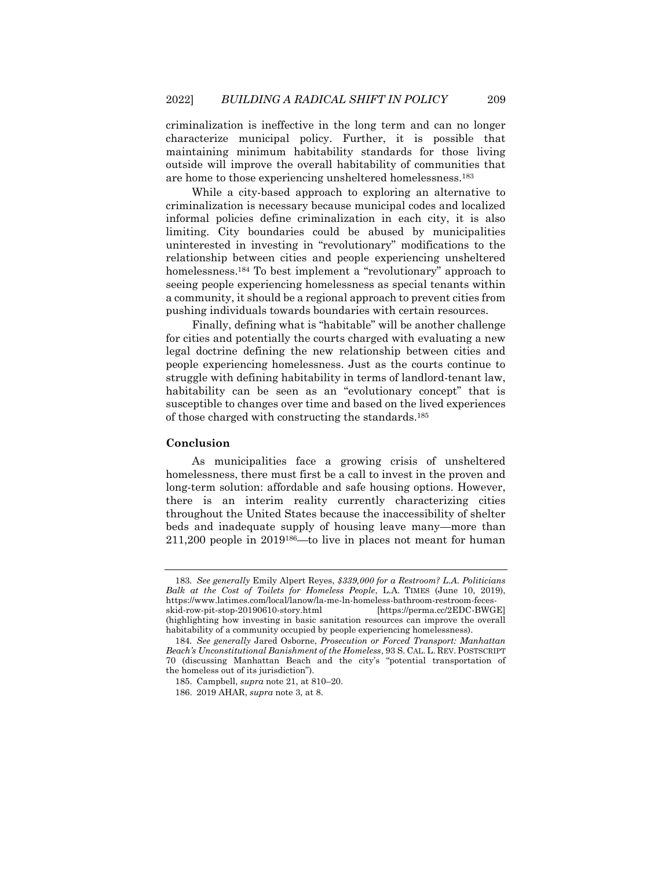criminalization is ineffective in the long term and can no longer characterize municipal policy. Further, it is possible that maintaining minimum habitability standards for those living outside will improve the overall habitability of communities that are home to those experiencing unsheltered homelessness.<sup>183</sup>

While a city-based approach to exploring an alternative to criminalization is necessary because municipal codes and localized informal policies define criminalization in each city, it is also limiting. City boundaries could be abused by municipalities uninterested in investing in "revolutionary" modifications to the relationship between cities and people experiencing unsheltered homelessness.<sup>184</sup> To best implement a "revolutionary" approach to seeing people experiencing homelessness as special tenants within a community, it should be a regional approach to prevent cities from pushing individuals towards boundaries with certain resources.

Finally, defining what is "habitable" will be another challenge for cities and potentially the courts charged with evaluating a new legal doctrine defining the new relationship between cities and people experiencing homelessness. Just as the courts continue to struggle with defining habitability in terms of landlord-tenant law, habitability can be seen as an "evolutionary concept" that is susceptible to changes over time and based on the lived experiences of those charged with constructing the standards.<sup>185</sup>

# **Conclusion**

As municipalities face a growing crisis of unsheltered homelessness, there must first be a call to invest in the proven and long-term solution: affordable and safe housing options. However, there is an interim reality currently characterizing cities throughout the United States because the inaccessibility of shelter beds and inadequate supply of housing leave many—more than 211,200 people in 2019186—to live in places not meant for human

<sup>183</sup>*. See generally* Emily Alpert Reyes, *\$339,000 for a Restroom? L.A. Politicians Balk at the Cost of Toilets for Homeless People*, L.A. TIMES (June 10, 2019), https://www.latimes.com/local/lanow/la-me-ln-homeless-bathroom-restroom-fecesskid-row-pit-stop-20190610-story.html [https://perma.cc/2EDC-BWGE] (highlighting how investing in basic sanitation resources can improve the overall habitability of a community occupied by people experiencing homelessness).

<sup>184</sup>*. See generally* Jared Osborne, *Prosecution or Forced Transport: Manhattan Beach's Unconstitutional Banishment of the Homeless*, 93 S. CAL. L. REV. POSTSCRIPT 70 (discussing Manhattan Beach and the city's "potential transportation of the homeless out of its jurisdiction").

<sup>185.</sup> Campbell, *supra* not[e 21,](#page-4-1) at 810–20.

<sup>186.</sup> 2019 AHAR, *supra* not[e 3,](#page-1-1) at 8.